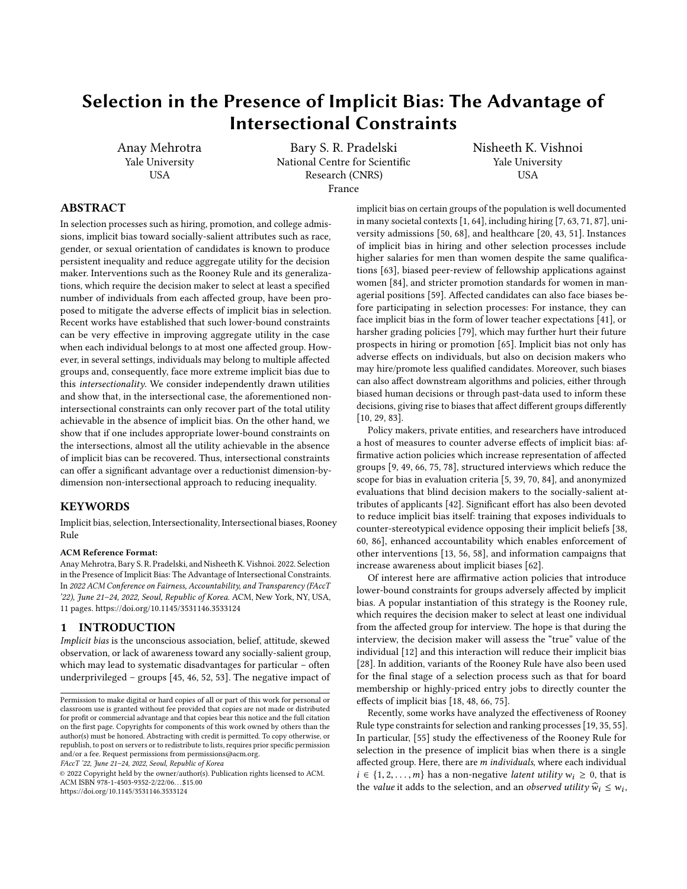# Selection in the Presence of Implicit Bias: The Advantage of Intersectional Constraints

Anay Mehrotra Yale University **USA** 

Bary S. R. Pradelski National Centre for Scientific Research (CNRS) France

Nisheeth K. Vishnoi Yale University USA

## ABSTRACT

In selection processes such as hiring, promotion, and college admissions, implicit bias toward socially-salient attributes such as race, gender, or sexual orientation of candidates is known to produce persistent inequality and reduce aggregate utility for the decision maker. Interventions such as the Rooney Rule and its generalizations, which require the decision maker to select at least a specified number of individuals from each affected group, have been proposed to mitigate the adverse effects of implicit bias in selection. Recent works have established that such lower-bound constraints can be very effective in improving aggregate utility in the case when each individual belongs to at most one affected group. However, in several settings, individuals may belong to multiple affected groups and, consequently, face more extreme implicit bias due to this intersectionality. We consider independently drawn utilities and show that, in the intersectional case, the aforementioned nonintersectional constraints can only recover part of the total utility achievable in the absence of implicit bias. On the other hand, we show that if one includes appropriate lower-bound constraints on the intersections, almost all the utility achievable in the absence of implicit bias can be recovered. Thus, intersectional constraints can offer a significant advantage over a reductionist dimension-bydimension non-intersectional approach to reducing inequality.

## **KEYWORDS**

Implicit bias, selection, Intersectionality, Intersectional biases, Rooney Rule

#### ACM Reference Format:

Anay Mehrotra, Bary S. R. Pradelski, and Nisheeth K. Vishnoi. 2022. Selection in the Presence of Implicit Bias: The Advantage of Intersectional Constraints. In 2022 ACM Conference on Fairness, Accountability, and Transparency (FAccT '22), June 21–24, 2022, Seoul, Republic of Korea. ACM, New York, NY, USA, [11](#page-10-0) pages.<https://doi.org/10.1145/3531146.3533124>

#### 1 INTRODUCTION

Implicit bias is the unconscious association, belief, attitude, skewed observation, or lack of awareness toward any socially-salient group, which may lead to systematic disadvantages for particular – often underprivileged – groups [\[45,](#page-9-0) [46,](#page-9-1) [52,](#page-10-1) [53\]](#page-10-2). The negative impact of

FAccT '22, June 21–24, 2022, Seoul, Republic of Korea

© 2022 Copyright held by the owner/author(s). Publication rights licensed to ACM. ACM ISBN 978-1-4503-9352-2/22/06. . . \$15.00 <https://doi.org/10.1145/3531146.3533124>

implicit bias on certain groups of the population is well documented in many societal contexts [\[1,](#page-9-2) [64\]](#page-10-3), including hiring [\[7,](#page-9-3) [63,](#page-10-4) [71,](#page-10-5) [87\]](#page-10-6), university admissions [\[50,](#page-9-4) [68\]](#page-10-7), and healthcare [\[20,](#page-9-5) [43,](#page-9-6) [51\]](#page-9-7). Instances of implicit bias in hiring and other selection processes include higher salaries for men than women despite the same qualifications [\[63\]](#page-10-4), biased peer-review of fellowship applications against women [\[84\]](#page-10-8), and stricter promotion standards for women in managerial positions [\[59\]](#page-10-9). Affected candidates can also face biases before participating in selection processes: For instance, they can face implicit bias in the form of lower teacher expectations [\[41\]](#page-9-8), or harsher grading policies [\[79\]](#page-10-10), which may further hurt their future prospects in hiring or promotion [\[65\]](#page-10-11). Implicit bias not only has adverse effects on individuals, but also on decision makers who may hire/promote less qualified candidates. Moreover, such biases can also affect downstream algorithms and policies, either through biased human decisions or through past-data used to inform these decisions, giving rise to biases that affect different groups differently [\[10,](#page-9-9) [29,](#page-9-10) [83\]](#page-10-12).

Policy makers, private entities, and researchers have introduced a host of measures to counter adverse effects of implicit bias: affirmative action policies which increase representation of affected groups [\[9,](#page-9-11) [49,](#page-9-12) [66,](#page-10-13) [75,](#page-10-14) [78\]](#page-10-15), structured interviews which reduce the scope for bias in evaluation criteria [\[5,](#page-9-13) [39,](#page-9-14) [70,](#page-10-16) [84\]](#page-10-8), and anonymized evaluations that blind decision makers to the socially-salient attributes of applicants [\[42\]](#page-9-15). Significant effort has also been devoted to reduce implicit bias itself: training that exposes individuals to counter-stereotypical evidence opposing their implicit beliefs [\[38,](#page-9-16) [60,](#page-10-17) [86\]](#page-10-18), enhanced accountability which enables enforcement of other interventions [\[13,](#page-9-17) [56,](#page-10-19) [58\]](#page-10-20), and information campaigns that increase awareness about implicit biases [\[62\]](#page-10-21).

Of interest here are affirmative action policies that introduce lower-bound constraints for groups adversely affected by implicit bias. A popular instantiation of this strategy is the Rooney rule, which requires the decision maker to select at least one individual from the affected group for interview. The hope is that during the interview, the decision maker will assess the "true" value of the individual [\[12\]](#page-9-18) and this interaction will reduce their implicit bias [\[28\]](#page-9-19). In addition, variants of the Rooney Rule have also been used for the final stage of a selection process such as that for board membership or highly-priced entry jobs to directly counter the effects of implicit bias [\[18,](#page-9-20) [48,](#page-9-21) [66,](#page-10-13) [75\]](#page-10-14).

Recently, some works have analyzed the effectiveness of Rooney Rule type constraints for selection and ranking processes [\[19,](#page-9-22) [35,](#page-9-23) [55\]](#page-10-22). In particular, [\[55\]](#page-10-22) study the effectiveness of the Rooney Rule for selection in the presence of implicit bias when there is a single affected group. Here, there are m individuals, where each individual  $i \in \{1, 2, \ldots, m\}$  has a non-negative *latent utility*  $w_i \geq 0$ , that is the *value* it adds to the selection, and an *observed utility*  $\widehat{w}_i \leq w_i$ ,

Permission to make digital or hard copies of all or part of this work for personal or classroom use is granted without fee provided that copies are not made or distributed for profit or commercial advantage and that copies bear this notice and the full citation on the first page. Copyrights for components of this work owned by others than the author(s) must be honored. Abstracting with credit is permitted. To copy otherwise, or republish, to post on servers or to redistribute to lists, requires prior specific permission and/or a fee. Request permissions from permissions@acm.org.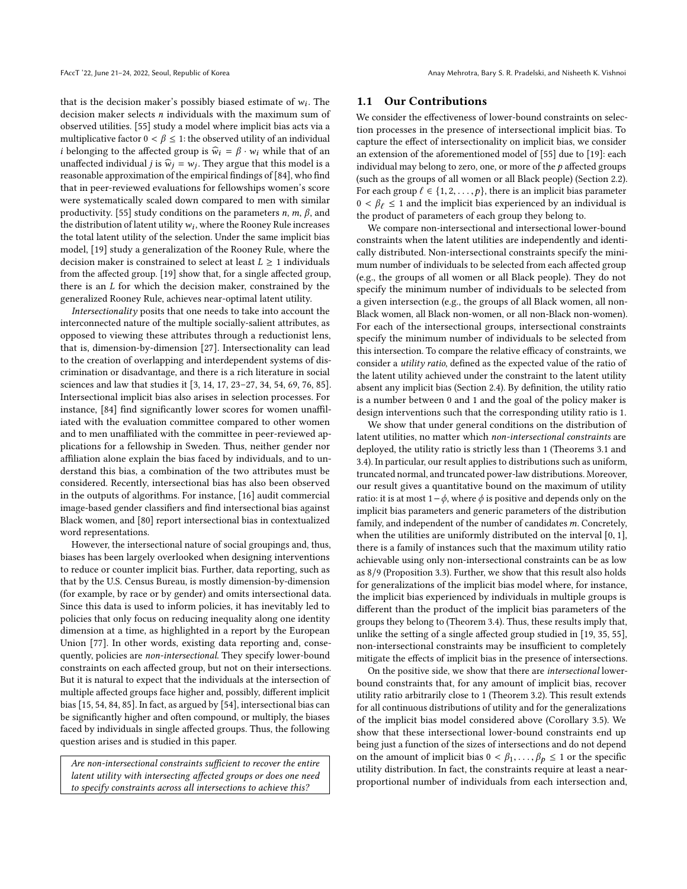that is the decision maker's possibly biased estimate of  $w_i$ . The decision maker selects *n* individuals with the maximum sum of decision maker selects n individuals with the maximum sum of observed utilities. [\[55\]](#page-10-22) study a model where implicit bias acts via a multiplicative factor  $0 < \beta \leq 1$ : the observed utility of an individual *i* belonging to the affected group is  $\hat{w}_i = \beta \cdot w_i$  while that of an unaffected individual *j* is  $\hat{w}_j = w_j$ . They argue that this model is a reasonable approximation of the empirical findings of [84], who find reasonable approximation of the empirical findings of [\[84\]](#page-10-8), who find that in peer-reviewed evaluations for fellowships women's score were systematically scaled down compared to men with similar productivity. [\[55\]](#page-10-22) study conditions on the parameters  $n, m, \beta$ , and the distribution of latent utility  $w_i$ , where the Rooney Rule increases<br>the total latent utility of the selection. Under the same implicit bias the total latent utility of the selection. Under the same implicit bias model, [\[19\]](#page-9-22) study a generalization of the Rooney Rule, where the decision maker is constrained to select at least  $L \geq 1$  individuals from the affected group. [\[19\]](#page-9-22) show that, for a single affected group, there is an L for which the decision maker, constrained by the generalized Rooney Rule, achieves near-optimal latent utility.

Intersectionality posits that one needs to take into account the interconnected nature of the multiple socially-salient attributes, as opposed to viewing these attributes through a reductionist lens, that is, dimension-by-dimension [\[27\]](#page-9-24). Intersectionality can lead to the creation of overlapping and interdependent systems of discrimination or disadvantage, and there is a rich literature in social sciences and law that studies it [\[3,](#page-9-25) [14,](#page-9-26) [17,](#page-9-27) [23](#page-9-28)[–27,](#page-9-24) [34,](#page-9-29) [54,](#page-10-23) [69,](#page-10-24) [76,](#page-10-25) [85\]](#page-10-26). Intersectional implicit bias also arises in selection processes. For instance, [\[84\]](#page-10-8) find significantly lower scores for women unaffiliated with the evaluation committee compared to other women and to men unaffiliated with the committee in peer-reviewed applications for a fellowship in Sweden. Thus, neither gender nor affiliation alone explain the bias faced by individuals, and to understand this bias, a combination of the two attributes must be considered. Recently, intersectional bias has also been observed in the outputs of algorithms. For instance, [\[16\]](#page-9-30) audit commercial image-based gender classifiers and find intersectional bias against Black women, and [\[80\]](#page-10-27) report intersectional bias in contextualized word representations.

However, the intersectional nature of social groupings and, thus, biases has been largely overlooked when designing interventions to reduce or counter implicit bias. Further, data reporting, such as that by the U.S. Census Bureau, is mostly dimension-by-dimension (for example, by race or by gender) and omits intersectional data. Since this data is used to inform policies, it has inevitably led to policies that only focus on reducing inequality along one identity dimension at a time, as highlighted in a report by the European Union [\[77\]](#page-10-28). In other words, existing data reporting and, consequently, policies are non-intersectional. They specify lower-bound constraints on each affected group, but not on their intersections. But it is natural to expect that the individuals at the intersection of multiple affected groups face higher and, possibly, different implicit bias [\[15,](#page-9-31) [54,](#page-10-23) [84,](#page-10-8) [85\]](#page-10-26). In fact, as argued by [\[54\]](#page-10-23), intersectional bias can be significantly higher and often compound, or multiply, the biases faced by individuals in single affected groups. Thus, the following question arises and is studied in this paper.

Are non-intersectional constraints sufficient to recover the entire latent utility with intersecting affected groups or does one need to specify constraints across all intersections to achieve this?

#### 1.1 Our Contributions

We consider the effectiveness of lower-bound constraints on selection processes in the presence of intersectional implicit bias. To capture the effect of intersectionality on implicit bias, we consider an extension of the aforementioned model of [\[55\]](#page-10-22) due to [\[19\]](#page-9-22): each individual may belong to zero, one, or more of the  $p$  affected groups (such as the groups of all women or all Black people) (Section [2.2\)](#page-3-0). For each group  $l \in \{1, 2, \ldots, p\}$ , there is an implicit bias parameter  $0 < \beta_{\ell} \leq 1$  and the implicit bias experienced by an individual is the product of parameters of each group they belong to.

We compare non-intersectional and intersectional lower-bound constraints when the latent utilities are independently and identically distributed. Non-intersectional constraints specify the minimum number of individuals to be selected from each affected group (e.g., the groups of all women or all Black people). They do not specify the minimum number of individuals to be selected from a given intersection (e.g., the groups of all Black women, all non-Black women, all Black non-women, or all non-Black non-women). For each of the intersectional groups, intersectional constraints specify the minimum number of individuals to be selected from this intersection. To compare the relative efficacy of constraints, we consider a utility ratio, defined as the expected value of the ratio of the latent utility achieved under the constraint to the latent utility absent any implicit bias (Section [2.4\)](#page-4-0). By definition, the utility ratio is a number between 0 and 1 and the goal of the policy maker is design interventions such that the corresponding utility ratio is 1.

We show that under general conditions on the distribution of latent utilities, no matter which non-intersectional constraints are deployed, the utility ratio is strictly less than 1 (Theorems [3.1](#page-4-1) and [3.4\)](#page-6-0). In particular, our result applies to distributions such as uniform, truncated normal, and truncated power-law distributions. Moreover, our result gives a quantitative bound on the maximum of utility ratio: it is at most  $1-\phi$ , where  $\phi$  is positive and depends only on the implicit bias parameters and generic parameters of the distribution family, and independent of the number of candidates m. Concretely, when the utilities are uniformly distributed on the interval [0, 1], there is a family of instances such that the maximum utility ratio achievable using only non-intersectional constraints can be as low as 8/9 (Proposition [3.3\)](#page-5-0). Further, we show that this result also holds for generalizations of the implicit bias model where, for instance, the implicit bias experienced by individuals in multiple groups is different than the product of the implicit bias parameters of the groups they belong to (Theorem [3.4\)](#page-6-0). Thus, these results imply that, unlike the setting of a single affected group studied in [\[19,](#page-9-22) [35,](#page-9-23) [55\]](#page-10-22), non-intersectional constraints may be insufficient to completely mitigate the effects of implicit bias in the presence of intersections.

On the positive side, we show that there are intersectional lowerbound constraints that, for any amount of implicit bias, recover utility ratio arbitrarily close to 1 (Theorem [3.2\)](#page-5-1). This result extends for all continuous distributions of utility and for the generalizations of the implicit bias model considered above (Corollary [3.5\)](#page-6-1). We show that these intersectional lower-bound constraints end up being just a function of the sizes of intersections and do not depend on the amount of implicit bias  $0 < \beta_1, \ldots, \beta_p \leq 1$  or the specific utility distribution. In fact, the constraints require at least a nearproportional number of individuals from each intersection and,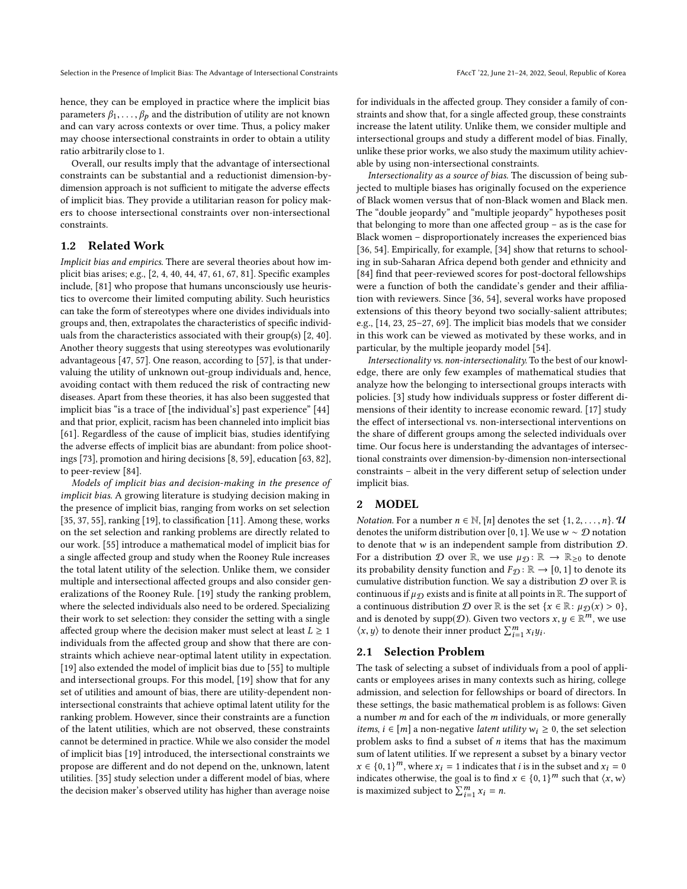hence, they can be employed in practice where the implicit bias parameters  $\beta_1, \ldots, \beta_p$  and the distribution of utility are not known and can vary across contexts or over time. Thus, a policy maker may choose intersectional constraints in order to obtain a utility ratio arbitrarily close to 1.

Overall, our results imply that the advantage of intersectional constraints can be substantial and a reductionist dimension-bydimension approach is not sufficient to mitigate the adverse effects of implicit bias. They provide a utilitarian reason for policy makers to choose intersectional constraints over non-intersectional constraints.

## 1.2 Related Work

Implicit bias and empirics. There are several theories about how implicit bias arises; e.g., [\[2,](#page-9-32) [4,](#page-9-33) [40,](#page-9-34) [44,](#page-9-35) [47,](#page-9-36) [61,](#page-10-29) [67,](#page-10-30) [81\]](#page-10-31). Specific examples include, [\[81\]](#page-10-31) who propose that humans unconsciously use heuristics to overcome their limited computing ability. Such heuristics can take the form of stereotypes where one divides individuals into groups and, then, extrapolates the characteristics of specific individuals from the characteristics associated with their group(s) [\[2,](#page-9-32) [40\]](#page-9-34). Another theory suggests that using stereotypes was evolutionarily advantageous [\[47,](#page-9-36) [57\]](#page-10-32). One reason, according to [\[57\]](#page-10-32), is that undervaluing the utility of unknown out-group individuals and, hence, avoiding contact with them reduced the risk of contracting new diseases. Apart from these theories, it has also been suggested that implicit bias "is a trace of [the individual's] past experience" [\[44\]](#page-9-35) and that prior, explicit, racism has been channeled into implicit bias [\[61\]](#page-10-29). Regardless of the cause of implicit bias, studies identifying the adverse effects of implicit bias are abundant: from police shootings [\[73\]](#page-10-33), promotion and hiring decisions [\[8,](#page-9-37) [59\]](#page-10-9), education [\[63,](#page-10-4) [82\]](#page-10-34), to peer-review [\[84\]](#page-10-8).

Models of implicit bias and decision-making in the presence of implicit bias. A growing literature is studying decision making in the presence of implicit bias, ranging from works on set selection [\[35,](#page-9-23) [37,](#page-9-38) [55\]](#page-10-22), ranking [\[19\]](#page-9-22), to classification [\[11\]](#page-9-39). Among these, works on the set selection and ranking problems are directly related to our work. [\[55\]](#page-10-22) introduce a mathematical model of implicit bias for a single affected group and study when the Rooney Rule increases the total latent utility of the selection. Unlike them, we consider multiple and intersectional affected groups and also consider generalizations of the Rooney Rule. [\[19\]](#page-9-22) study the ranking problem, where the selected individuals also need to be ordered. Specializing their work to set selection: they consider the setting with a single affected group where the decision maker must select at least  $L \geq 1$ individuals from the affected group and show that there are constraints which achieve near-optimal latent utility in expectation. [\[19\]](#page-9-22) also extended the model of implicit bias due to [\[55\]](#page-10-22) to multiple and intersectional groups. For this model, [\[19\]](#page-9-22) show that for any set of utilities and amount of bias, there are utility-dependent nonintersectional constraints that achieve optimal latent utility for the ranking problem. However, since their constraints are a function of the latent utilities, which are not observed, these constraints cannot be determined in practice. While we also consider the model of implicit bias [\[19\]](#page-9-22) introduced, the intersectional constraints we propose are different and do not depend on the, unknown, latent utilities. [\[35\]](#page-9-23) study selection under a different model of bias, where the decision maker's observed utility has higher than average noise

for individuals in the affected group. They consider a family of constraints and show that, for a single affected group, these constraints increase the latent utility. Unlike them, we consider multiple and intersectional groups and study a different model of bias. Finally, unlike these prior works, we also study the maximum utility achievable by using non-intersectional constraints.

Intersectionality as a source of bias. The discussion of being subjected to multiple biases has originally focused on the experience of Black women versus that of non-Black women and Black men. The "double jeopardy" and "multiple jeopardy" hypotheses posit that belonging to more than one affected group – as is the case for Black women – disproportionately increases the experienced bias [\[36,](#page-9-40) [54\]](#page-10-23). Empirically, for example, [\[34\]](#page-9-29) show that returns to schooling in sub-Saharan Africa depend both gender and ethnicity and [\[84\]](#page-10-8) find that peer-reviewed scores for post-doctoral fellowships were a function of both the candidate's gender and their affiliation with reviewers. Since [\[36,](#page-9-40) [54\]](#page-10-23), several works have proposed extensions of this theory beyond two socially-salient attributes; e.g., [\[14,](#page-9-26) [23,](#page-9-28) [25](#page-9-41)[–27,](#page-9-24) [69\]](#page-10-24). The implicit bias models that we consider in this work can be viewed as motivated by these works, and in particular, by the multiple jeopardy model [\[54\]](#page-10-23).

Intersectionality vs. non-intersectionality. To the best of our knowledge, there are only few examples of mathematical studies that analyze how the belonging to intersectional groups interacts with policies. [\[3\]](#page-9-25) study how individuals suppress or foster different dimensions of their identity to increase economic reward. [\[17\]](#page-9-27) study the effect of intersectional vs. non-intersectional interventions on the share of different groups among the selected individuals over time. Our focus here is understanding the advantages of intersectional constraints over dimension-by-dimension non-intersectional constraints – albeit in the very different setup of selection under implicit bias.

#### 2 MODEL

*Notation.* For a number  $n \in \mathbb{N}$ , [n] denotes the set  $\{1, 2, \ldots, n\}$ . U denotes the uniform distribution over [0, 1]. We use  $w \sim \mathcal{D}$  notation to denote that  $w$  is an independent sample from distribution  $D$ . For a distribution  $\mathcal D$  over  $\mathbb R$ , we use  $\mu_{\mathcal D} : \mathbb R \to \mathbb R_{\geq 0}$  to denote its probability density function and  $F_{\mathcal{D}} : \mathbb{R} \to [0, 1]$  to denote its cumulative distribution function. We say a distribution  $\mathcal D$  over  $\mathbb R$  is continuous if  $\mu_{\mathcal{D}}$  exists and is finite at all points in R. The support of a continuous distribution  $D$  over  $\mathbb R$  is the set  $\{x \in \mathbb R : \mu_{\mathcal D}(x) > 0\}$ , and is denoted by supp( $\mathcal{D}$ ). Given two vectors  $x, y \in \mathbb{R}^m$ , we use  $(x, y)$  to denote their inner product  $\sum_{n=1}^{m} x_n y_n$ .  $\langle x, y \rangle$  to denote their inner product  $\sum_{i=1}^{m} x_i y_i$ .

#### 2.1 Selection Problem

The task of selecting a subset of individuals from a pool of applicants or employees arises in many contexts such as hiring, college admission, and selection for fellowships or board of directors. In these settings, the basic mathematical problem is as follows: Given a number  $m$  and for each of the  $m$  individuals, or more generally *items, i* ∈ [*m*] a non-negative *latent utility*  $w_i$  ≥ 0, the set selection problem asks to find a subset of  $n$  items that has the maximum sum of latent utilities. If we represent a subset by a binary vector  $x \in \{0, 1\}^m$ , where  $x_i = 1$  indicates that *i* is in the subset and  $x_i = 0$ <br>indicates otherwise, the soal is to find  $x \in \{0, 1\}^m$  such that  $(x, y)$ indicates otherwise, the goal is to find  $x \in \{0, 1\}^m$  such that  $\langle x, w \rangle$ <br>is maximized subject to  $\sum_{n=1}^{m} x_i = n$ is maximized subject to  $\sum_{i=1}^{m} x_i = n$ .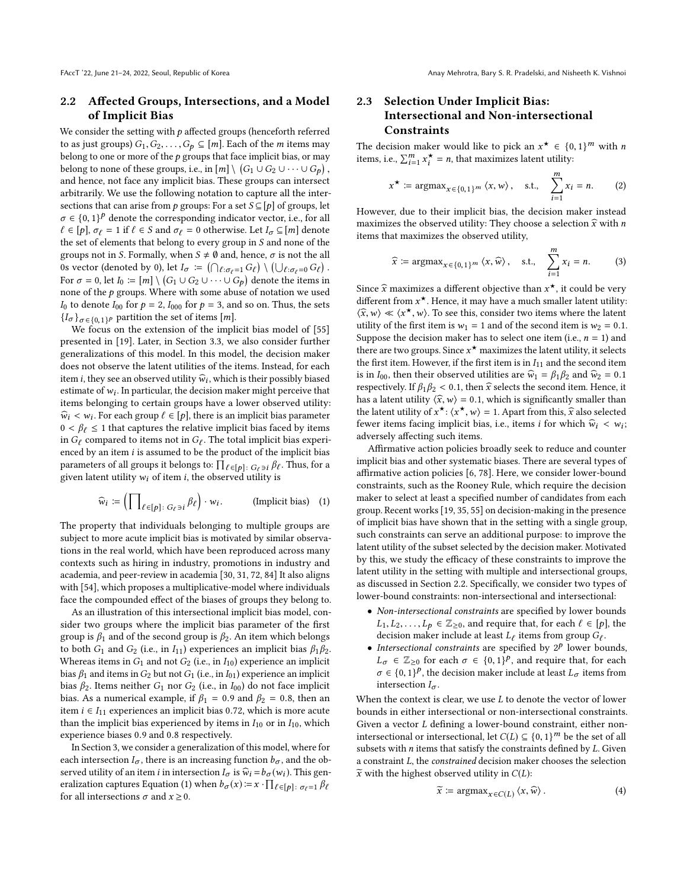## <span id="page-3-0"></span>2.2 Affected Groups, Intersections, and a Model of Implicit Bias

We consider the setting with  $p$  affected groups (henceforth referred to as just groups)  $G_1, G_2, \ldots, G_p \subseteq [m]$ . Each of the *m* items may belong to one or more of the  $p$  groups that face implicit bias, or may belong to none of these groups, i.e., in  $[m] \setminus (G_1 \cup G_2 \cup \cdots \cup G_p)$ <br>and hence, not foce any implicit bias. These groups can intersect and hence, not face any implicit bias. These groups can intersect arbitrarily. We use the following notation to capture all the intersections that can arise from p groups: For a set  $S \subseteq [p]$  of groups, let  $\sigma \in \{0,1\}^p$  denote the corresponding indicator vector, i.e., for all<br> $f \in [n]$ ,  $\sigma_n = 1$  if  $f \in S$  and  $\sigma_n = 0$  otherwise. Let  $I \subset [m]$  denote  $\ell \in [p], \sigma_{\ell} = 1$  if  $\ell \in S$  and  $\sigma_{\ell} = 0$  otherwise. Let  $I_{\sigma} \subseteq [m]$  denote the set of elements that belong to every group in S and none of the groups not in S. Formally, when  $S \neq \emptyset$  and, hence,  $\sigma$  is not the all 0s vector (denoted by 0), let  $I_{\sigma} := (\bigcap_{\ell : \sigma_{\ell} = 1} G_{\ell}) \setminus (\bigcup_{\ell : \sigma_{\ell} = 0} G_{\ell})$ <br>For  $\sigma = 0$  let  $I_{\Sigma} := [m] \setminus (G_{\Sigma} \cup G_{\Sigma})$ , denote the items is For  $\sigma = 0$ , let  $I_0 := [m] \setminus (G_1 \cup G_2 \cup \cdots \cup G_p)$  denote the items in<br>none of the n groups. Where with some abuse of notation we used none of the  $p$  groups. Where with some abuse of notation we used  $I_0$  to denote  $I_{00}$  for  $p = 2$ ,  $I_{000}$  for  $p = 3$ , and so on. Thus, the sets  ${I_{\sigma}}_{\sigma \in \{0,1\}^p}$  partition the set of items [*m*].<br>We focus on the extension of the impli-

We focus on the extension of the implicit bias model of [\[55\]](#page-10-22) presented in [\[19\]](#page-9-22). Later, in Section [3.3,](#page-5-2) we also consider further generalizations of this model. In this model, the decision maker does not observe the latent utilities of the items. Instead, for each item *i*, they see an observed utility  $\hat{w}_i$ , which is their possibly biased<br>estimate of  $w_i$ . In particular, the decision maker might perceive that estimate of  $w_i$ . In particular, the decision maker might perceive that items belonging to certain groups have a lower observed utility. items belonging to certain groups have a lower observed utility: which is that captures the relative implicit bias faced by items<br> $0 \le \beta_{\ell} \le 1$  that captures the relative implicit bias faced by items<br>in  $G_{\ell}$  compared to items not in  $G_{\ell}$ . The total implicit bias experi- $\widehat{w}_i < w_i$ . For each group  $\ell \in [p]$ , there is an implicit bias parameter in  $G_{\ell}$  compared to items not in  $G_{\ell}$ . The total implicit bias experienced by an item *i* is assumed to be the product of the implicit bias enced by an item  $i$  is assumed to be the product of the implicit bias parameters of all groups it belongs to:  $\prod_{\ell \in [p]} \epsilon_{\ell}$ ;  $G_{\ell}$  is  $\beta_{\ell}$ . Thus, for a given latent utility we of item *i*, the observed utility is given latent utility  $w_i$  of item i, the observed utility is

$$
\widehat{w}_i := \left( \prod_{\ell \in [p]: G_{\ell} \ni i} \beta_{\ell} \right) \cdot w_i. \qquad \text{(Implicit bias)} \quad (1)
$$

The property that individuals belonging to multiple groups are subject to more acute implicit bias is motivated by similar observations in the real world, which have been reproduced across many contexts such as hiring in industry, promotions in industry and academia, and peer-review in academia [\[30,](#page-9-42) [31,](#page-9-43) [72,](#page-10-35) [84\]](#page-10-8) It also aligns with [\[54\]](#page-10-23), which proposes a multiplicative-model where individuals face the compounded effect of the biases of groups they belong to.

As an illustration of this intersectional implicit bias model, consider two groups where the implicit bias parameter of the first group is  $\beta_1$  and of the second group is  $\beta_2$ . An item which belongs to both  $G_1$  and  $G_2$  (i.e., in  $I_{11}$ ) experiences an implicit bias  $\beta_1\beta_2$ . Whereas items in  $G_1$  and not  $G_2$  (i.e., in  $I_{10}$ ) experience an implicit bias  $\beta_1$  and items in  $G_2$  but not  $G_1$  (i.e., in  $I_{01}$ ) experience an implicit bias  $\beta_2$ . Items neither  $G_1$  nor  $G_2$  (i.e., in  $I_{00}$ ) do not face implicit bias. As a numerical example, if  $\beta_1 = 0.9$  and  $\beta_2 = 0.8$ , then an item *i* ∈  $I_{11}$  experiences an implicit bias 0.72, which is more acute than the implicit bias experienced by items in  $I_{10}$  or in  $I_{10}$ , which experience biases <sup>0</sup>.<sup>9</sup> and <sup>0</sup>.<sup>8</sup> respectively.

In Section [3,](#page-4-2) we consider a generalization of this model, where for each intersection  $I_{\sigma}$ , there is an increasing function  $b_{\sigma}$ , and the observed utility of an item *i* in intersection  $I_{\sigma}$  is  $\widehat{w}_i = b_{\sigma}(w_i)$ . This gen-eralization captures Equation [\(1\)](#page-3-1) when  $b_{\sigma}(x) = x \cdot \prod_{\ell \in [p]} \sigma_{\ell} = 1 \beta_{\ell}$ <br>for all intersections  $\sigma$  and  $x > 0$ for all intersections  $\sigma$  and  $x \ge 0$ .

## <span id="page-3-4"></span>2.3 Selection Under Implicit Bias: Intersectional and Non-intersectional **Constraints**

The decision maker would like to pick an  $x^* \in \{0, 1\}^m$  with *n* items i.e.  $\sum_{m=1}^{m} x^* = n$  that maximizes latent utility: items, i.e.,  $\sum_{i=1}^{m} x_i^* = n$ , that maximizes latent utility:

$$
x^{\star} := \operatorname{argmax}_{x \in \{0, 1\}^m} \langle x, w \rangle, \quad \text{s.t.,} \quad \sum_{i=1}^m x_i = n. \tag{2}
$$
  
However, due to their implicit bias, the decision maker instead

maximizes the observed utility: They choose a selection  $\hat{x}$  with n items that maximizes the observed utility,

<span id="page-3-2"></span>
$$
\widehat{x} := \operatorname{argmax}_{x \in \{0, 1\}^m} \langle x, \widehat{w} \rangle, \quad \text{s.t.,} \quad \sum_{i=1}^m x_i = n. \tag{3}
$$

Since  $\hat{x}$  maximizes a different objective than  $x^*$ , it could be very different from  $x^*$ . Hence, it may have a much smaller latent utility. different from  $x^*$ . Hence, it may have a much smaller latent utility:<br> $\sqrt{x}$   $y \le (x^* - y)$ . To see this consider two items where the latent  $\langle \hat{x}, w \rangle \ll \langle x^*, w \rangle$ . To see this, consider two items where the latent<br>utility of the first item is  $w_t = 1$  and of the second item is  $w_t = 0.1$ utility of the first item is  $w_1 = 1$  and of the second item is  $w_2 = 0.1$ . Suppose the decision maker has to select one item (i.e.,  $n = 1$ ) and there are two groups. Since  $x^*$  maximizes the latent utility, it selects the first item. However, if the first item is in  $L_1$ , and the second item the first item. However, if the first item is in  $I_{11}$  and the second item is in  $I_{00}$ , then their observed utilities are  $\hat{w}_1 = \beta_1 \beta_2$  and  $\hat{w}_2 = 0.1$ respectively. If  $\beta_1 \beta_2 < 0.1$ , then  $\hat{x}$  selects the second item. Hence, it has a latent utility  $\langle \hat{x}, w \rangle = 0.1$ , which is significantly smaller than the latent utility of  $x^*$ :  $\langle x^*, w \rangle = 1$ . Apart from this,  $\hat{x}$  also selected four items focing implicit bias i.e., items if for which  $\hat{w} \leq w$ fewer items facing implicit bias, i.e., items *i* for which  $\hat{w}_i < w_i$ ; adversely affecting such items.

<span id="page-3-1"></span>Affirmative action policies broadly seek to reduce and counter implicit bias and other systematic biases. There are several types of affirmative action policies [\[6,](#page-9-44) [78\]](#page-10-15). Here, we consider lower-bound constraints, such as the Rooney Rule, which require the decision maker to select at least a specified number of candidates from each group. Recent works [\[19,](#page-9-22) [35,](#page-9-23) [55\]](#page-10-22) on decision-making in the presence of implicit bias have shown that in the setting with a single group, such constraints can serve an additional purpose: to improve the latent utility of the subset selected by the decision maker. Motivated by this, we study the efficacy of these constraints to improve the latent utility in the setting with multiple and intersectional groups, as discussed in Section [2.2.](#page-3-0) Specifically, we consider two types of lower-bound constraints: non-intersectional and intersectional:

- Non-intersectional constraints are specified by lower bounds  $L_1, L_2, \ldots, L_p \in \mathbb{Z}_{\geq 0}$ , and require that, for each  $\ell \in [p]$ , the decision maker include at least  $L_{\ell}$  items from group  $G_{\ell}$ .<br>Intersectional constraints are specified by  $2^p$  lower boy
- Intersectional constraints are specified by  $2^p$  lower bounds,  $L_{\sigma} \in \mathbb{Z}_{\geq 0}$  for each  $\sigma \in \{0,1\}^p$ , and require that, for each  $\sigma \in \{0,1\}^p$  the decision maker include at least I items from  $\sigma \in \{0, 1\}^p$ , the decision maker include at least  $L_{\sigma}$  items from intersection I intersection  $I_{\sigma}$ .

When the context is clear, we use  $L$  to denote the vector of lower bounds in either intersectional or non-intersectional constraints. Given a vector L defining a lower-bound constraint, either nonintersectional or intersectional, let  $C(L) \subseteq \{0, 1\}^m$  be the set of all subsets with n items that satisfy the constraints defined by L Given subsets with n items that satisfy the constraints defined by L. Given a constraint L, the constrained decision maker chooses the selection  $\widetilde{x}$  with the highest observed utility in  $C(L)$ :

<span id="page-3-3"></span>
$$
\widetilde{x} := \operatorname{argmax}_{x \in C(L)} \langle x, \widehat{w} \rangle. \tag{4}
$$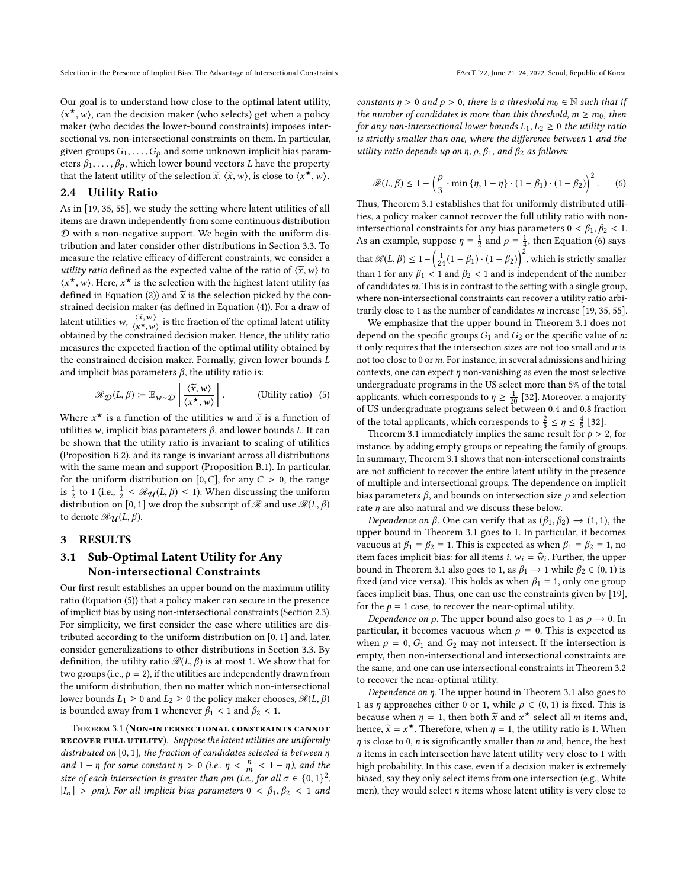Our goal is to understand how close to the optimal latent utility,  $\langle x^*, w \rangle$ , can the decision maker (who selects) get when a policy<br>maker (who decides the lower-bound constraints) imposes intermaker (who decides the lower-bound constraints) imposes intersectional vs. non-intersectional constraints on them. In particular, given groups  $G_1, \ldots, G_p$  and some unknown implicit bias parameters  $\beta_1, \ldots, \beta_p$ , which lower bound vectors L have the property that the latent utility of the selection  $\tilde{x}$ ,  $\langle \tilde{x}, w \rangle$ , is close to  $\langle x^*, w \rangle$ .

#### <span id="page-4-0"></span>2.4 Utility Ratio

As in [\[19,](#page-9-22) [35,](#page-9-23) [55\]](#page-10-22), we study the setting where latent utilities of all items are drawn independently from some continuous distribution  $D$  with a non-negative support. We begin with the uniform distribution and later consider other distributions in Section [3.3.](#page-5-2) To measure the relative efficacy of different constraints, we consider a utility ratio defined as the expected value of the ratio of  $\langle \tilde{x}, w \rangle$  to  $\langle x^*, w \rangle$ . Here,  $x^*$  is the selection with the highest latent utility (as defined in Equation (2)) and  $\tilde{x}$  is the selection picked by the con-defined in Equation [\(2\)](#page-3-2)) and  $\widetilde{x}$  is the selection picked by the constrained decision maker (as defined in Equation [\(4\)](#page-3-3)). For a draw of latent utilities w,  $\frac{\langle \tilde{x}, w \rangle}{\langle x^*, w \rangle}$  is the fraction of the optimal latent utility ratio  $\frac{d}{dx}$  and  $\frac{d}{dx}$ ,  $\frac{d}{dx}$  is the fraction of the optimal latent diffusion maker. Hence, the utility ratio measures the expected fraction of the optimal utility obtained by the constrained decision maker. Formally, given lower bounds L and implicit bias parameters  $\beta$ , the utility ratio is:

$$
\mathscr{R}_{\mathcal{D}}(L,\beta) \coloneqq \mathbb{E}_{w \sim \mathcal{D}} \left[ \frac{\langle \tilde{x}, w \rangle}{\langle x^{\star}, w \rangle} \right].
$$
 (Utility ratio) (5)

Where  $x^*$  is a function of the utilities w and  $\tilde{x}$  is a function of utilities w implicit bias parameters  $\beta$  and lower bounds I. It can utilities w, implicit bias parameters  $β$ , and lower bounds *L*. It can be shown that the utility ratio is invariant to scaling of utilities (Proposition B.2), and its range is invariant across all distributions with the same mean and support (Proposition B.1). In particular, for the uniform distribution on [0, C], for any  $C > 0$ , the range is  $\frac{1}{2}$  to 1 (i.e.,  $\frac{1}{2} \leq \Re(u(L, \beta) \leq 1)$ ). When discussing the uniform distribution on [0, 1] we drop the subscript of  $\mathscr R$  and use  $\mathscr R(L,\beta)$ to denote  $\mathcal{R}_{\mathcal{U}}(L, \beta)$ .

#### <span id="page-4-2"></span>3 RESULTS

## <span id="page-4-5"></span>3.1 Sub-Optimal Latent Utility for Any Non-intersectional Constraints

Our first result establishes an upper bound on the maximum utility ratio (Equation [\(5\)](#page-4-3)) that a policy maker can secure in the presence of implicit bias by using non-intersectional constraints (Section [2.3\)](#page-3-4). For simplicity, we first consider the case where utilities are distributed according to the uniform distribution on [0, <sup>1</sup>] and, later, consider generalizations to other distributions in Section [3.3.](#page-5-2) By definition, the utility ratio  $\mathcal{R}(L, \beta)$  is at most 1. We show that for two groups (i.e.,  $p = 2$ ), if the utilities are independently drawn from the uniform distribution, then no matter which non-intersectional lower bounds  $L_1 \geq 0$  and  $L_2 \geq 0$  the policy maker chooses,  $\mathcal{R}(L, \beta)$ is bounded away from 1 whenever  $\beta_1$  < 1 and  $\beta_2$  < 1.

<span id="page-4-1"></span>Theorem 3.1 (Non-intersectional constraints cannot RECOVER FULL UTILITY). Suppose the latent utilities are uniformly distributed on [0, <sup>1</sup>], the fraction of candidates selected is between η and  $1 - \eta$  for some constant  $\eta > 0$  (i.e.,  $\eta < \frac{n}{m} < 1 - \eta$ ), and the size of each intersection is greater than om (i.e. for all  $\sigma \in \{0, 1\}^2$ ) size of each intersection is greater than  $\rho m$  (i.e., for all  $\sigma \in \{0,1\}^2$ ,<br> $\vert I \vert \geq \rho m$ ). For all implicit his parameters  $0 \leq \beta_1, \beta_2 \leq 1$  and  $|I_{\sigma}| > \rho m$ ). For all implicit bias parameters  $0 < \beta_1, \beta_2 < 1$  and

constants  $\eta > 0$  and  $\rho > 0$ , there is a threshold  $m_0 \in \mathbb{N}$  such that if

the number of candidates is more than this threshold,  $m \ge m_0$ , then for any non-intersectional lower bounds  $L_1, L_2 \geq 0$  the utility ratio is strictly smaller than one, where the difference between 1 and the utility ratio depends up on  $\eta$ ,  $\rho$ ,  $\beta_1$ , and  $\beta_2$  as follows:

<span id="page-4-4"></span>
$$
\mathcal{R}(L,\beta) \le 1 - \left(\frac{\rho}{3} \cdot \min\left\{\eta, 1-\eta\right\} \cdot (1-\beta_1) \cdot (1-\beta_2)\right)^2. \tag{6}
$$

Thus, Theorem [3.1](#page-4-1) establishes that for uniformly distributed utilities, a policy maker cannot recover the full utility ratio with nonintersectional constraints for any bias parameters  $0 < \beta_1, \beta_2 < 1$ . As an example, suppose  $\eta = \frac{1}{2}$  and  $\rho = \frac{1}{4}$ , then Equation [\(6\)](#page-4-4) says that  $\mathcal{R}(L, \beta) \leq 1 - \left(\frac{1}{24}(1 - \beta_1) \cdot (1 - \beta_2)\right)^2$ , which is strictly smaller than 1 for any  $\beta_1 < 1$  and  $\beta_2 < 1$  and is independent of the number of candidates  $m$ . This is in contrast to the setting with a single group, where non-intersectional constraints can recover a utility ratio arbitrarily close to 1 as the number of candidates  $m$  increase [\[19,](#page-9-22) [35,](#page-9-23) [55\]](#page-10-22).

We emphasize that the upper bound in Theorem [3.1](#page-4-1) does not depend on the specific groups  $G_1$  and  $G_2$  or the specific value of n: it only requires that the intersection sizes are not too small and  $n$  is not too close to 0 or  $m$ . For instance, in several admissions and hiring contexts, one can expect  $\eta$  non-vanishing as even the most selective undergraduate programs in the US select more than 5% of the total applicants, which corresponds to  $\eta \geq \frac{1}{20}$  [\[32\]](#page-9-45). Moreover, a majority of US undergraduate programs select between 0.4 and 0.8 fraction of US undergraduate programs select between 0.4 and 0.8 fraction of the total applicants, which corresponds to  $\frac{2}{5} \leq \eta \leq \frac{4}{5}$  [\[32\]](#page-9-45).<br>Theorem 3.1 immediately implies the same result for  $\rho > \frac{4}{5}$ 

<span id="page-4-3"></span>Theorem [3.1](#page-4-1) immediately implies the same result for  $p > 2$ , for instance, by adding empty groups or repeating the family of groups. In summary, Theorem [3.1](#page-4-1) shows that non-intersectional constraints are not sufficient to recover the entire latent utility in the presence of multiple and intersectional groups. The dependence on implicit bias parameters  $\beta$ , and bounds on intersection size  $\rho$  and selection rate  $\eta$  are also natural and we discuss these below.

Dependence on  $\beta$ . One can verify that as  $(\beta_1, \beta_2) \rightarrow (1, 1)$ , the upper bound in Theorem [3.1](#page-4-1) goes to 1. In particular, it becomes vacuous at  $\beta_1 = \beta_2 = 1$ . This is expected as when  $\beta_1 = \beta_2 = 1$ , no item faces implicit bias: for all items *i*,  $w_i = \hat{w}_i$ . Further, the upper<br>hound in Theorem 3.1 also goes to 1 as  $\hat{\beta}_i \rightarrow 1$  while  $\hat{\beta}_i \in (0, 1)$  is bound in Theorem [3.1](#page-4-1) also goes to 1, as  $\beta_1 \rightarrow 1$  while  $\beta_2 \in (0, 1)$  is fixed (and vice versa). This holds as when  $\beta_1 = 1$ , only one group faces implicit bias. Thus, one can use the constraints given by [\[19\]](#page-9-22), for the  $p = 1$  case, to recover the near-optimal utility.

Dependence on  $\rho$ . The upper bound also goes to 1 as  $\rho \rightarrow 0$ . In particular, it becomes vacuous when  $\rho = 0$ . This is expected as when  $\rho = 0$ ,  $G_1$  and  $G_2$  may not intersect. If the intersection is empty, then non-intersectional and intersectional constraints are the same, and one can use intersectional constraints in Theorem [3.2](#page-5-1) to recover the near-optimal utility.

Dependence on  $\eta$ . The upper bound in Theorem [3.1](#page-4-1) also goes to 1 as  $\eta$  approaches either 0 or 1, while  $\rho \in (0, 1)$  is fixed. This is because when  $\eta = 1$ , then both  $\tilde{x}$  and  $x^*$  select all m items and,<br>hence  $\tilde{x} = x^*$ . Therefore when  $n = 1$ , the utility ratio is 1. When hence,  $\tilde{x} = x^*$ . Therefore, when  $\eta = 1$ , the utility ratio is 1. When  $n$  is close to 0, n is significantly smaller than  $m$  and hence the best  $\eta$  is close to 0,  $n$  is significantly smaller than  $m$  and, hence, the best n items in each intersection have latent utility very close to 1 with high probability. In this case, even if a decision maker is extremely biased, say they only select items from one intersection (e.g., White men), they would select  $n$  items whose latent utility is very close to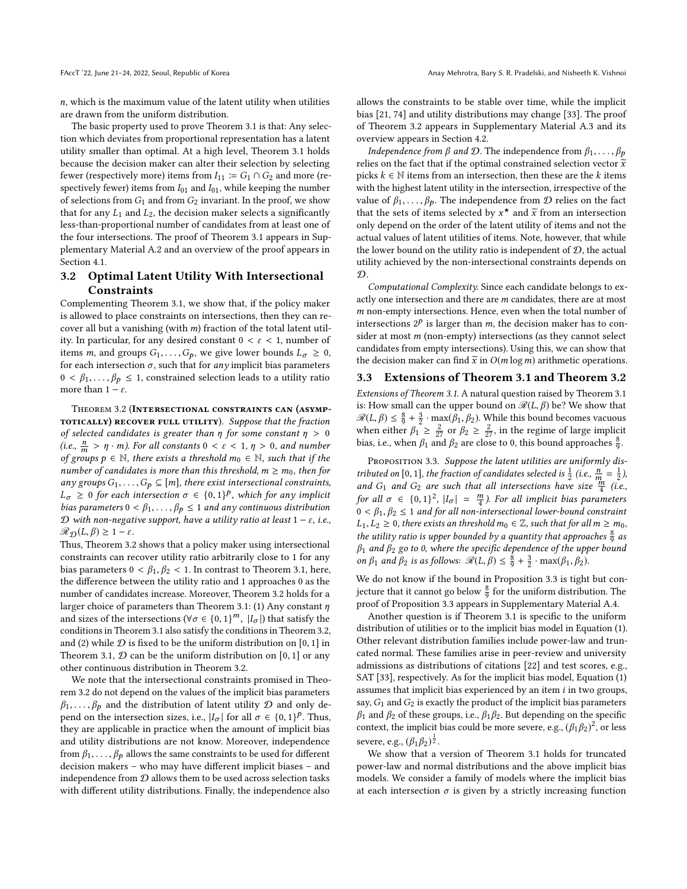n, which is the maximum value of the latent utility when utilities are drawn from the uniform distribution.

The basic property used to prove Theorem [3.1](#page-4-1) is that: Any selection which deviates from proportional representation has a latent utility smaller than optimal. At a high level, Theorem [3.1](#page-4-1) holds because the decision maker can alter their selection by selecting fewer (respectively more) items from  $I_{11} \coloneqq G_1 \cap G_2$  and more (respectively fewer) items from  $I_{01}$  and  $I_{01}$ , while keeping the number of selections from  $G_1$  and from  $G_2$  invariant. In the proof, we show that for any  $L_1$  and  $L_2$ , the decision maker selects a significantly less-than-proportional number of candidates from at least one of the four intersections. The proof of Theorem [3.1](#page-4-1) appears in Supplementary Material A.2 and an overview of the proof appears in Section [4.1.](#page-6-2)

## 3.2 Optimal Latent Utility With Intersectional **Constraints**

Complementing Theorem [3.1,](#page-4-1) we show that, if the policy maker is allowed to place constraints on intersections, then they can recover all but a vanishing (with  $m$ ) fraction of the total latent utility. In particular, for any desired constant  $0 < \varepsilon < 1$ , number of items *m*, and groups  $G_1, \ldots, G_p$ , we give lower bounds  $L_{\sigma} \geq 0$ , for each intersection  $\sigma$ , such that for *any* implicit bias parameters  $0 < \beta_1, \ldots, \beta_p \leq 1$ , constrained selection leads to a utility ratio more than  $1 - \varepsilon$ .

<span id="page-5-1"></span>Theorem 3.2 (Intersectional constraints can (asymp-TOTICALLY) RECOVER FULL UTILITY). Suppose that the fraction of selected candidates is greater than  $\eta$  for some constant  $\eta > 0$ (i.e.,  $\frac{n}{m} > \eta \cdot m$ ). For all constants  $0 < \varepsilon < 1$ ,  $\eta > 0$ , and number of groups  $p \in \mathbb{N}$  there exists a threshold  $m_0 \in \mathbb{N}$  such that if the of groups  $p \in \mathbb{N}$ , there exists a threshold  $m_0 \in \mathbb{N}$ , such that if the number of candidates is more than this threshold,  $m \ge m_0$ , then for any groups  $G_1, \ldots, G_p \subseteq [m]$ , there exist intersectional constraints,  $L_{\sigma} \ge 0$  for each intersection  $\sigma \in \{0,1\}^p$ , which for any implicit<br>bias parameters  $0 < \beta_0$ ,  $\beta_0 < 1$  and any continuous distribution bias parameters  $0 < \beta_1, \ldots, \beta_p \leq 1$  and any continuous distribution D with non-negative support, have a utility ratio at least  $1 - \varepsilon$ , i.e.,  $\mathcal{R}_{\mathcal{D}}(L, \beta) \geq 1 - \varepsilon.$ 

Thus, Theorem [3.2](#page-5-1) shows that a policy maker using intersectional constraints can recover utility ratio arbitrarily close to 1 for any bias parameters  $0 < \beta_1, \beta_2 < 1$ . In contrast to Theorem [3.1,](#page-4-1) here, the difference between the utility ratio and 1 approaches 0 as the number of candidates increase. Moreover, Theorem [3.2](#page-5-1) holds for a larger choice of parameters than Theorem [3.1:](#page-4-1) (1) Any constant  $\eta$ and sizes of the intersections  $(\forall \sigma \in \{0,1\}^m, |I_{\sigma}|)$  that satisfy the conditions in Theorem 3.2 conditions in Theorem [3.1](#page-4-1) also satisfy the conditions in Theorem [3.2,](#page-5-1) and (2) while  $D$  is fixed to be the uniform distribution on [0, 1] in Theorem [3.1,](#page-4-1)  $D$  can be the uniform distribution on [0, 1] or any other continuous distribution in Theorem [3.2.](#page-5-1)

We note that the intersectional constraints promised in Theorem [3.2](#page-5-1) do not depend on the values of the implicit bias parameters  $\beta_1, \ldots, \beta_p$  and the distribution of latent utility  $\mathcal D$  and only depend on the intersection sizes, i.e.,  $|I_{\sigma}|$  for all  $\sigma \in \{0,1\}^p$ . Thus, they are applicable in practice when the amount of implicit bias they are applicable in practice when the amount of implicit bias and utility distributions are not know. Moreover, independence from  $\beta_1, \ldots, \beta_p$  allows the same constraints to be used for different decision makers – who may have different implicit biases – and independence from  $D$  allows them to be used across selection tasks with different utility distributions. Finally, the independence also

allows the constraints to be stable over time, while the implicit bias [\[21,](#page-9-46) [74\]](#page-10-36) and utility distributions may change [\[33\]](#page-9-47). The proof of Theorem [3.2](#page-5-1) appears in Supplementary Material A.3 and its overview appears in Section [4.2.](#page-8-0)

*Independence from*  $\beta$  *and*  $\mathcal{D}$ *.* The independence from  $\beta_1, \ldots, \beta_p$ relies on the fact that if the optimal constrained selection vector  $\widetilde{x}$ picks  $k \in \mathbb{N}$  items from an intersection, then these are the k items with the highest latent utility in the intersection, irrespective of the value of  $\beta_1, \ldots, \beta_p$ . The independence from  $\mathcal D$  relies on the fact that the sets of items selected by  $x^*$  and  $\tilde{x}$  from an intersection<br>only denend on the order of the latent utility of items and not the only depend on the order of the latent utility of items and not the actual values of latent utilities of items. Note, however, that while the lower bound on the utility ratio is independent of  $D$ , the actual utility achieved by the non-intersectional constraints depends on  $\mathcal{D}$ .

Computational Complexity. Since each candidate belongs to exactly one intersection and there are m candidates, there are at most  $m$  non-empty intersections. Hence, even when the total number of intersections  $2^p$  is larger than m, the decision maker has to con-<br>sider at most m (non-ampty) intersections (as they cannot select sider at most m (non-empty) intersections (as they cannot select candidates from empty intersections). Using this, we can show that the decision maker can find  $\tilde{x}$  in  $O(m \log m)$  arithmetic operations.<br>3.3 Extensions of Theorem 3.1 and Theorem 3.2

#### <span id="page-5-2"></span>3.3 Extensions of Theorem [3.1](#page-4-1) and Theorem [3.2](#page-5-1)

Extensions of Theorem [3.1.](#page-4-1) A natural question raised by Theorem [3.1](#page-4-1) is: How small can the upper bound on  $\mathcal{R}(L, \beta)$  be? We show that  $\mathcal{R}(L, \beta) \leq \frac{8}{9} + \frac{3}{2} \cdot \max(\beta_1, \beta_2)$ . While this bound becomes vacuous when either  $\beta_1 \geq \frac{2}{27}$  or  $\beta_2 \geq \frac{2}{27}$ , in the regime of large implicit<br>bise i.e. when  $\beta_1$  and  $\beta_2$  are close to 0, this bound enprocedure  $\frac{8}{3}$ bias, i.e., when  $\beta_1$  and  $\beta_2$  are close to 0, this bound approaches  $\frac{8}{9}$ .

<span id="page-5-0"></span>PROPOSITION 3.3. Suppose the latent utilities are uniformly distributed on [0, 1], the fraction of candidates selected is  $\frac{1}{2}$  (i.e.,  $\frac{n}{m} = \frac{1}{2}$ ), and G<sub>1</sub> and G<sub>2</sub> are such that all intersections have size  $\frac{m}{n}$  (i.e. and  $G_1$  and  $G_2$  are such that all intersections have size  $\frac{m}{4}$  (i.e.,  $f_{\text{on all}} = (0, 1)^2 \mid I_1 = m$ ). For all implicit his parameters for all  $\sigma \in \{0,1\}^2$ ,  $|I_{\sigma}| = \frac{m}{4}$ ). For all implicit bias parameters  $0 < \beta$ ,  $\beta_0 < 1$  and for all non-intersectional lower-bound constraint  $0 < \beta_1, \beta_2 \leq 1$  and for all non-intersectional lower-bound constraint  $L_1, L_2 \geq 0$ , there exists an threshold  $m_0 \in \mathbb{Z}$ , such that for all  $m \geq m_0$ , the utility ratio is upper bounded by a quantity that approaches  $\frac{8}{9}$  as  $\beta_1$  and  $\beta_2$  go to 0, where the specific dependence of the upper bound on  $\beta_1$  and  $\beta_2$  is as follows:  $\Re(L, \beta) \leq \frac{8}{9} + \frac{3}{2} \cdot \max(\beta_1, \beta_2)$ .

We do not know if the bound in Proposition [3.3](#page-5-0) is tight but conjecture that it cannot go below  $\frac{8}{9}$  for the uniform distribution. The proof of Proposition [3.3](#page-5-0) appears in Supplementary Material A.4.

Another question is if Theorem [3.1](#page-4-1) is specific to the uniform distribution of utilities or to the implicit bias model in Equation [\(1\)](#page-3-1). Other relevant distribution families include power-law and truncated normal. These families arise in peer-review and university admissions as distributions of citations [\[22\]](#page-9-48) and test scores, e.g., SAT [\[33\]](#page-9-47), respectively. As for the implicit bias model, Equation [\(1\)](#page-3-1) assumes that implicit bias experienced by an item  $i$  in two groups, say,  $G_1$  and  $G_2$  is exactly the product of the implicit bias parameters  $\beta_1$  and  $\beta_2$  of these groups, i.e.,  $\beta_1\beta_2$ . But depending on the specific context, the implicit bias could be more severe, e.g.,  $(\beta_1 \beta_2)^2$ , or less severe, e.g.,  $(\beta_1 \beta_2)^{\frac{1}{2}}$ .

We show that a version of Theorem [3.1](#page-4-1) holds for truncated power-law and normal distributions and the above implicit bias models. We consider a family of models where the implicit bias at each intersection  $\sigma$  is given by a strictly increasing function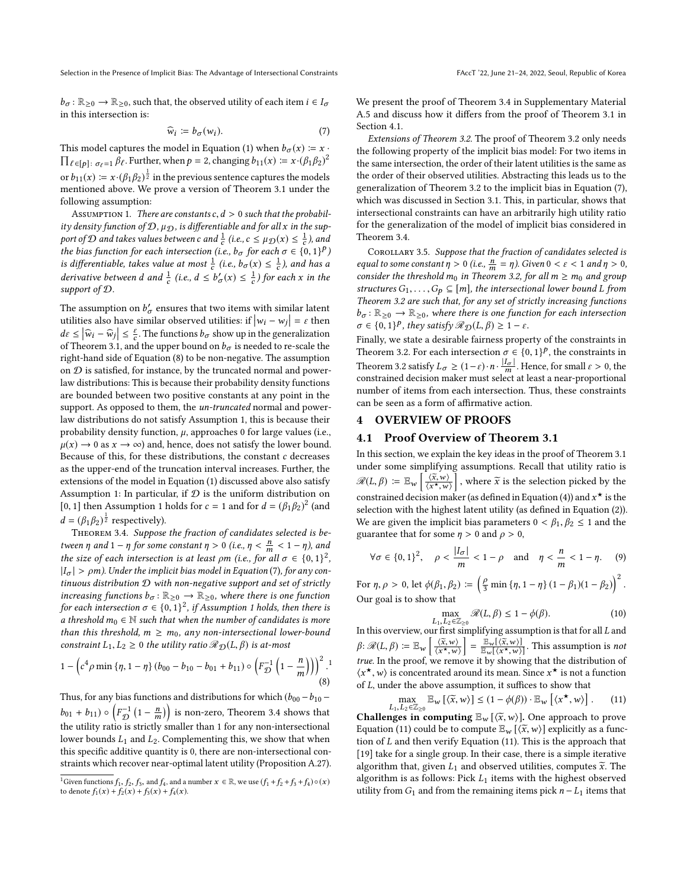$b_{\sigma} : \mathbb{R}_{\geq 0} \to \mathbb{R}_{\geq 0}$ , such that, the observed utility of each item  $i \in I_{\sigma}$ in this intersection is:

$$
\widehat{w}_i \coloneqq b_{\sigma}(w_i). \tag{7}
$$

This model captures the model in Equation (1) when  $b_{\sigma}(x) \coloneqq x \cdot$ This model captures the model in Equation [\(1\)](#page-3-1) when  $b_{\sigma}(x) := x \cdot \prod_{\ell \in [p] : \sigma_{\ell} = 1} \beta_{\ell}$ . Further, when  $p = 2$ , changing  $b_{11}(x) := x \cdot (\beta_1 \beta_2)^2$ or  $b_{11}(x) = x \cdot (\beta_1 \beta_2)^{\frac{1}{2}}$  in the previous sentence captures the models<br>mentioned above. We prove a version of Theorem 3.1 under the mentioned above. We prove a version of Theorem [3.1](#page-4-1) under the following assumption:

<span id="page-6-4"></span>ASSUMPTION 1. There are constants  $c, d > 0$  such that the probability density function of  $\mathcal{D}, \mu_{\mathcal{D}}$ , is differentiable and for all x in the support of D and takes values between c and  $\frac{1}{c}$  (i.e.,  $c \leq \mu_D(x) \leq \frac{1}{c}$ ), and the bias function for each intersection (i.e., b. for each  $\pi \in \{0, 1\}$ ) the bias function for each intersection (i.e.,  $b_{\sigma}$  for each  $\sigma \in \{0,1\}^p$ )<br>is differentiable, takes value at most  $\frac{1}{n}$  (i.e., b (x)  $\leq \frac{1}{n}$ ) and hes a is differentiable, takes value at most  $\frac{1}{c}$  (i.e.,  $b_{\sigma}(x) \leq \frac{1}{c}$ ), and has a devicative late some d and  $\frac{1}{c}$  (i.e.,  $d \leq k'$  (i.e.,  $\frac{1}{c}$ ) for each u in the derivative between d and  $\frac{1}{c}$  (i.e.,  $d \leq b'_{\sigma}(x) \leq \frac{1}{c}$ ) for each x in the support of  $\Omega$ support of D.

The assumption on  $b'_{\sigma}$  ensures that two items with similar latent utilities also have similar observed utilities: if  $|w_{\sigma} - w_{\sigma}| = c$  then utilities also have similar observed utilities: if  $|w_i - w_j| = \varepsilon$  then<br> $d_{\varepsilon} \leq |\widehat{G}| \leq \varepsilon$ . The functions he show up in the generalization  $d\varepsilon \leq |\widehat{w}_i - \widehat{w}_j| \leq \frac{\varepsilon}{c}$ . The functions  $b_{\sigma}$  show up in the generalization of Theorem 3.1, and the upper bound on h<sub>as</sub> is needed to re-scale the of Theorem [3.1,](#page-4-1) and the upper bound on  $b_{\sigma}$  is needed to re-scale the right-hand side of Equation (8) to be non-negative. The assumption right-hand side of Equation [\(8\)](#page-6-3) to be non-negative. The assumption on  $D$  is satisfied, for instance, by the truncated normal and powerlaw distributions: This is because their probability density functions are bounded between two positive constants at any point in the support. As opposed to them, the *un-truncated* normal and powerlaw distributions do not satisfy Assumption [1,](#page-6-4) this is because their probability density function,  $\mu$ , approaches 0 for large values (i.e.,  $\mu(x) \rightarrow 0$  as  $x \rightarrow \infty$ ) and, hence, does not satisfy the lower bound. Because of this, for these distributions, the constant  $c$  decreases as the upper-end of the truncation interval increases. Further, the extensions of the model in Equation [\(1\)](#page-3-1) discussed above also satisfy Assumption [1:](#page-6-4) In particular, if  $D$  is the uniform distribution on [0, [1](#page-6-4)] then Assumption 1 holds for  $c = 1$  and for  $d = (\beta_1 \beta_2)^2$  (and  $d = (\beta_1 \beta_2)^{\frac{1}{2}}$  respectively).<br>
THEOREM 3.4 Suppose

<span id="page-6-0"></span>Theorem 3.4. Suppose the fraction of candidates selected is between  $\eta$  and  $1 - \eta$  for some constant  $\eta > 0$  (i.e.,  $\eta < \frac{n}{m} < 1 - \eta$ ), and<br>the size of each intersection is at least om (i.e., for all  $\sigma \in \{0, 1\}^2$ the size of each intersection is at least  $\rho m$  (i.e., for all  $\sigma \in \{0,1\}^2$ ,<br> $|I| > \rho m$ ) Under the implicit bias model in Equation (7) for any con- $|I_{\sigma}| > \rho m$ ). Under the implicit bias model in Equation [\(7\)](#page-6-5), for any continuous distribution  $D$  with non-negative support and set of strictly increasing functions  $b_{\sigma} : \mathbb{R}_{\geq 0} \to \mathbb{R}_{\geq 0}$ , where there is one function for each intersection  $\sigma \in \{0,1\}^2$ , if Assumption [1](#page-6-4) holds, then there is<br>a threshold  $m_0 \in \mathbb{N}$  such that when the number of candidates is more a threshold  $m_0 \in \mathbb{N}$  such that when the number of candidates is more than this threshold,  $m \geq m_0$ , any non-intersectional lower-bound constraint  $L_1, L_2 \geq 0$  the utility ratio  $\mathcal{R}_{\mathcal{D}}(L, \beta)$  is at-most

$$
1 - \left(c^4 \rho \min \left\{ \eta, 1 - \eta \right\} \left( b_{00} - b_{10} - b_{01} + b_{11} \right) \circ \left( F_{\mathcal{D}}^{-1} \left( 1 - \frac{n}{m} \right) \right) \right)^2.
$$
<sup>(8)</sup>

Thus, for any bias functions and distributions for which  $(b_{00} - b_{10} - b_{10})$  $b_{01} + b_{11}$ )  $\circ \left( F_{\mathcal{D}}^{-1} \left( 1 - \frac{n}{m} \right) \right)$  is non-zero, Theorem [3.4](#page-6-0) shows that the utility ratio is strictly smaller than 1 for any non-intersectional lower bounds  $L_1$  and  $L_2$ . Complementing this, we show that when this specific additive quantity is 0, there are non-intersectional constraints which recover near-optimal latent utility (Proposition A.27). We present the proof of Theorem [3.4](#page-6-0) in Supplementary Material

A.5 and discuss how it differs from the proof of Theorem [3.1](#page-4-1) in Section [4.1.](#page-6-2)

<span id="page-6-5"></span>Extensions of Theorem [3.2.](#page-5-1) The proof of Theorem [3.2](#page-5-1) only needs the following property of the implicit bias model: For two items in the same intersection, the order of their latent utilities is the same as the order of their observed utilities. Abstracting this leads us to the generalization of Theorem [3.2](#page-5-1) to the implicit bias in Equation [\(7\)](#page-6-5), which was discussed in Section [3.1.](#page-4-5) This, in particular, shows that intersectional constraints can have an arbitrarily high utility ratio for the generalization of the model of implicit bias considered in Theorem [3.4.](#page-6-0)

<span id="page-6-1"></span>COROLLARY 3.5. Suppose that the fraction of candidates selected is equal to some constant  $\eta > 0$  (i.e.,  $\frac{n}{m} = \eta$ ). Given  $0 < \varepsilon < 1$  and  $\eta > 0$ , consider the threshold mo in Theorem 3.2, for all  $m > m_0$  and group consider the threshold  $m_0$  in Theorem [3.2,](#page-5-1) for all  $m \ge m_0$  and group structures  $G_1, \ldots, G_p \subseteq [m]$ , the intersectional lower bound L from Theorem [3.2](#page-5-1) are such that, for any set of strictly increasing functions  $b_{\sigma} : \mathbb{R}_{\geq 0} \to \mathbb{R}_{\geq 0}$ , where there is one function for each intersection  $\sigma \in \{0, 1\}^p$ , they satisfy  $\mathcal{R}_{\mathcal{D}}(L, \beta) \geq 1 - \varepsilon$ .

Finally, we state a desirable fairness property of the constraints in Theorem [3.2.](#page-5-1) For each intersection  $\sigma \in \{0, 1\}^p$ , the constraints in<br>Theorem 2.2 satisfy  $I_{\sigma} > (1, \alpha)$ ,  $\pi \begin{vmatrix} I_{\sigma} \\ I_{\sigma} \end{vmatrix}$ . Using for small a  $\alpha$ , 0 the Theorem [3.2](#page-5-1) satisfy  $L_{\sigma} \geq (1-\varepsilon) \cdot n \cdot \frac{|I_{\sigma}|}{m}$ . Hence, for small  $\varepsilon > 0$ , the constrained decision maker must select at least a near-proportional constrained decision maker must select at least a near-proportional number of items from each intersection. Thus, these constraints can be seen as a form of affirmative action.

## 4 OVERVIEW OF PROOFS

#### <span id="page-6-2"></span>4.1 Proof Overview of Theorem [3.1](#page-4-1)

In this section, we explain the key ideas in the proof of Theorem [3.1](#page-4-1) under some simplifying assumptions. Recall that utility ratio is  $\mathscr{R}(L,\beta) \coloneqq \mathbb{E}_{w} \left[ \frac{\langle \widetilde{x},w \rangle}{\langle x^{\star},w \rangle} \right]$  $\langle x^{\star}, w \rangle$ where  $\tilde{x}$  is the selection picked by the constrained decision maker (as defined in Equation [\(4\)](#page-3-3)) and  $x^{\star}$  is the selection with the highest latent utility (as defined in Equation (2)) selection with the highest latent utility (as defined in Equation [\(2\)](#page-3-2)). We are given the implicit bias parameters  $0 < \beta_1, \beta_2 \le 1$  and the guarantee that for some  $\eta > 0$  and  $\rho > 0$ ,

$$
\forall \sigma \in \{0, 1\}^2, \quad \rho < \frac{|I_{\sigma}|}{m} < 1 - \rho \quad \text{and} \quad \eta < \frac{n}{m} < 1 - \eta.
$$
 (9)

For  $\eta, \rho > 0$ , let  $\phi(\beta_1, \beta_2) := \left(\frac{\rho}{3} \min{\{\eta, 1 - \eta\}} (1 - \beta_1)(1 - \beta_2)\right)^2$ Our goal is to show that

<span id="page-6-7"></span><span id="page-6-6"></span>
$$
\max_{L_1, L_2 \in \mathbb{Z}_{\geq 0}} \mathcal{R}(L, \beta) \leq 1 - \phi(\beta). \tag{10}
$$

In this overview, our first simplifying assumption is that for all  $L$  and In this overview, our first simplifying assumption is that for all L and<br>  $\mathcal{C}(\mathcal{X}, \mathcal{Y}) = \mathbb{E}[\mathcal{X}, \mathcal{Y}] = \mathbb{E}[\mathcal{X}, \mathcal{Y}] = \mathbb{E}[\mathcal{X}, \mathcal{Y}]$  $\beta: \mathscr{R}(L,\beta) := \mathbb{E}_{w} \left[ \frac{\langle \widetilde{x},w \rangle}{\langle x^{\star},w \rangle} \right]$  $\langle x^{\star}, w \rangle$  $\left] = \frac{\mathbb{E}_{w}[\langle \tilde{x}, w \rangle]}{\mathbb{E}_{w}[\langle x^{\star}, w \rangle]}$ . This assumption is *not* true. In the proof, we remove it by showing that the distribution of  $\langle x^*, w \rangle$  is concentrated around its mean. Since  $x^*$  is not a function<br>of L under the above assumption, it suffices to show that of L, under the above assumption, it suffices to show that

$$
\max_{\{1, L_2 \in \mathbb{Z}_{\geq 0} \mathbb{E}_W \left[ \langle \widetilde{x}, w \rangle \right] \leq (1 - \phi(\beta)) \cdot \mathbb{E}_W \left[ \langle x^{\star}, w \rangle \right]. \tag{11}
$$

<span id="page-6-3"></span>L<sub>1</sub>,L<sub>2</sub> ∈Z<sub>≥0</sub>  $\omega$  ((x, m) = (x + y(y)) =  $\omega$  ((x, m)) = (x + y(y)) = (x + y(y)) = (x + y(y)) = (x + y(y)) = (x + y(y)) = (x + y(y)) = (x + y(y)) = (x + y(y)) = (x + y(y)) = (x + y(y)) = (x + y(y) = (x + y(y) = (x + Equation [\(11\)](#page-6-6) could be to compute  $\mathbb{E}_w$   $[\langle \tilde{x}, w \rangle]$  explicitly as a function of L and then verify Equation (11). This is the annoach that tion of L and then verify Equation [\(11\)](#page-6-6). This is the approach that [\[19\]](#page-9-22) take for a single group. In their case, there is a simple iterative algorithm that, given  $L_1$  and observed utilities, computes  $\widetilde{x}$ . The algorithm is as follows: Pick  $L_1$  items with the highest observed utility from  $G_1$  and from the remaining items pick  $n - L_1$  items that

<sup>&</sup>lt;sup>1</sup>Given functions  $f_1$ ,  $f_2$ ,  $f_3$ , and  $f_4$ , and a number  $x \in \mathbb{R}$ , we use  $(f_1 + f_2 + f_3 + f_4) \circ (x)$ to denote  $f_1(x) + f_2(x) + f_3(x) + f_4(x)$ .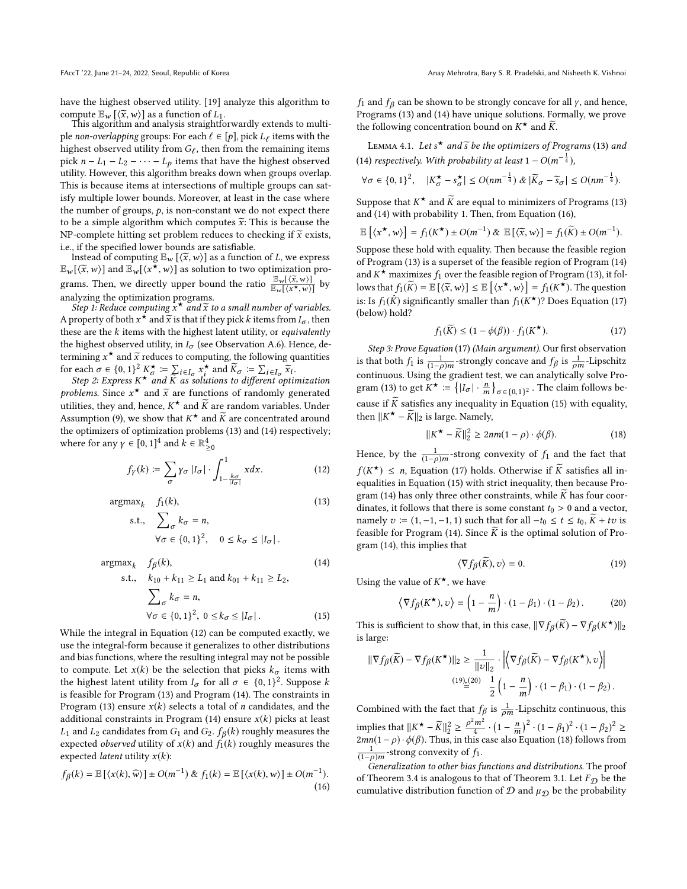have the highest observed utility. [\[19\]](#page-9-22) analyze this algorithm to compute  $\mathbb{E}_{w}$  [ $\langle \tilde{x}, w \rangle$ ] as a function of  $L_1$ .<br>This algorithm and analysis straightfc

This algorithm and analysis straightforwardly extends to multiple non-overlapping groups: For each  $\ell \in [p]$ , pick  $L_{\ell}$  items with the highest observed utility from  $G_{\ell}$ , then from the remaining items highest observed utility from  $G_{\ell}$ , then from the remaining items<br>pick  $n - L_1 - L_2 - \cdots - L_n$  items that have the highest observed pick  $n - L_1 - L_2 - \cdots - L_p$  items that have the highest observed utility. However, this algorithm breaks down when groups overlap. This is because items at intersections of multiple groups can satisfy multiple lower bounds. Moreover, at least in the case where the number of groups,  $p$ , is non-constant we do not expect there to be a simple algorithm which computes  $\widetilde{x}$ : This is because the NP-complete hitting set problem reduces to checking if  $\widetilde{x}$  exists, i.e., if the specified lower bounds are satisfiable.

Instead of computing  $\mathbb{E}_w$  [ $\langle \overline{x}, w \rangle$ ] as a function of L, we express  $\langle \overline{x}, w \rangle$ ] and  $\mathbb{E}$   $\langle x^*, w \rangle$ ] as solution to two optimization pro- $\mathbb{E}_{w}[\langle \widetilde{x}, w \rangle]$  and  $\mathbb{E}_{w}[\langle \widetilde{x}, w \rangle]$  as solution to two optimization programs. Then, we directly upper bound the ratio  $\frac{\mathbb{E}_{w}[(\overline{x}, w)]}{\mathbb{E}_{w}[(x^{\star}, w)]}$  by analyzing the optimization programs.

Step 1: Reduce computing  $x^*$  and  $\widetilde{x}$  to a small number of variables.<br>Yonerty of both  $x^*$  and  $\widetilde{x}$  is that if they pick k items from L – then A property of both  $x^*$  and  $\tilde{x}$  is that if they pick k items from  $I_{\sigma}$ , then<br>these are the k items with the bighest latent utility or equivalently these are the  $k$  items with the highest latent utility, or *equivalently* the highest observed utility, in  $I_{\sigma}$  (see Observation A.6). Hence, determining  $x^*$  and  $\tilde{x}$  reduces to computing, the following quantities<br>for each  $\tilde{\sigma} \in \{0, 1\}^2$   $K^* := \sum_{x} x^*$  and  $\tilde{K} := \sum_{x} \tilde{x}$ . for each  $\sigma \in \{0, 1\}^2$ <br>Step 2: Express K

each  $\sigma \in \{0,1\}^2 K^{\star}_{\sigma} := \sum_{i \in I_{\sigma}} x^{\star}_{i}$  and  $\widetilde{K}_{\sigma} := \sum_{i \in I_{\sigma}} \widetilde{x}_{i}$ .<br>Step 2: Express  $K^{\star}$  and K as solutions to different optimization<br>phlams. Since  $x^{\star}$  and  $\widetilde{x}$  are functions of randomly gener problems. Since  $x^*$  and  $\tilde{x}$  are functions of randomly generated<br>utilities they and hance  $K^*$  and  $\tilde{K}$  are random variables. Under utilities, they and, hence,  $K^*$  and  $\widetilde{K}$  are random variables. Under  $\Lambda$  commution (0), we show that  $K^*$  and  $\widetilde{K}$  are concentrated around Assumption [\(9\)](#page-6-7), we show that  $K^*$  and  $\widetilde{K}$  are concentrated around the optimizare of optimization problems (13) and (14) reconcitively: the optimizers of optimization problems [\(13\)](#page-7-0) and [\(14\)](#page-7-1) respectively; where for any  $\gamma \in [0, 1]^4$  and  $k \in \mathbb{R}^4_{\geq 0}$ 

$$
f_Y(k) := \sum_{\sigma} \gamma_{\sigma} |I_{\sigma}| \cdot \int_{1 - \frac{k_{\sigma}}{|I_{\sigma}|}}^{1} x dx. \tag{12}
$$

 $argmax_k$   $f_1(k)$ ,

$$
\max_{k} f_1(k),
$$
\n
$$
\text{s.t., } \sum_{\sigma} k_{\sigma} = n,
$$
\n
$$
\forall \sigma \in \{0, 1\}^2, \quad 0 \le k_{\sigma} \le |I_{\sigma}|.
$$
\n
$$
(13)
$$

$$
\arg\max_{k} \quad f_{\beta}(k),
$$
\n
$$
\text{s.t.,} \quad k_{10} + k_{11} \ge L_1 \text{ and } k_{01} + k_{11} \ge L_2,
$$
\n
$$
\sum_{\sigma} k_{\sigma} = n,
$$
\n
$$
(14)
$$

$$
\forall \sigma \in \{0,1\}^2, \ 0 \le k_{\sigma} \le |I_{\sigma}| \,. \tag{15}
$$

While the integral in Equation [\(12\)](#page-7-2) can be computed exactly, we use the integral-form because it generalizes to other distributions and bias functions, where the resulting integral may not be possible to compute. Let  $x(k)$  be the selection that picks  $k_{\sigma}$  items with the highest latent utility from  $I_{\sigma}$  for all  $\sigma \in \{0, 1\}^2$ . Suppose k<br>is feasible for Program (13) and Program (14). The constraints in is feasible for Program [\(13\)](#page-7-0) and Program [\(14\)](#page-7-1). The constraints in Program [\(13\)](#page-7-0) ensure  $x(k)$  selects a total of *n* candidates, and the additional constraints in Program  $(14)$  ensure  $x(k)$  picks at least  $L_1$  and  $L_2$  candidates from  $G_1$  and  $G_2$ .  $f_\beta(k)$  roughly measures the expected *observed* utility of  $x(k)$  and  $f_1(k)$  roughly measures the expected *latent* utility  $x(k)$ :

$$
f_{\beta}(k) = \mathbb{E}\left[\langle x(k), \widehat{w} \rangle\right] \pm O(m^{-1}) \& f_1(k) = \mathbb{E}\left[\langle x(k), w \rangle\right] \pm O(m^{-1}).
$$
\n(16)

f<sub>1</sub> and  $f_\beta$  can be shown to be strongly concave for all *y*, and hence,<br>Programs (13) and (14) have unique solutions. Formally, we prove Programs [\(13\)](#page-7-0) and [\(14\)](#page-7-1) have unique solutions. Formally, we prove the following concentration bound on  $K^{\star}$  and  $\widetilde{K}$ .

<span id="page-7-7"></span>LEMMA 4.1. Let  $s^*$  and  $\widetilde{s}$  be the optimizers of Programs [\(13\)](#page-7-0) and [\(14\)](#page-7-1) respectively. With probability at least  $1 - O(m^{-\frac{1}{4}})$ ,

$$
\forall \sigma \in \{0,1\}^2, \quad |K_{\sigma}^{\star} - s_{\sigma}^{\star}| \le O(nm^{-\frac{1}{4}}) \& |\widetilde{K}_{\sigma} - \widetilde{s}_{\sigma}| \le O(nm^{-\frac{1}{4}}).
$$

Suppose that  $K^{\star}$  and  $\widetilde{K}$  are equal to minimizers of Programs [\(13\)](#page-7-0)<br>and (14) with probability 1. Then, from Equation (16) and [\(14\)](#page-7-1) with probability 1. Then, from Equation [\(16\)](#page-7-3),

$$
\mathbb{E}\left[\langle x^{\star},w\rangle\right] = f_1(K^{\star}) \pm O(m^{-1}) \& \mathbb{E}\left[\langle \widetilde{x},w\rangle\right] = f_1(\widetilde{K}) \pm O(m^{-1}).
$$

Suppose these hold with equality. Then because the feasible region of Program [\(13\)](#page-7-0) is a superset of the feasible region of Program [\(14\)](#page-7-1) and  $K^*$  maximizes  $f_1$  over the feasible region of Program [\(13\)](#page-7-0), it fol-<br>lowe that  $f_1(\widetilde{K}) = \mathbb{E}[f_1(\widetilde{K}, \omega)] \in \mathbb{E}[f_2(\widetilde{K}, \omega)] = f_1(K^*)$ . The question lows that  $f_1(\widetilde{K}) = \mathbb{E}[(\widetilde{x}, w)] \leq \mathbb{E}[(x^*, w)] = f_1(K^*)$ . The question is: Is  $f_1(\hat{K})$  significantly smaller than  $f_1(K^{\star})$ ? Does Equation [\(17\)](#page-7-4) (below) hold?

<span id="page-7-4"></span>
$$
f_1(\widetilde{K}) \le (1 - \phi(\beta)) \cdot f_1(K^{\star}). \tag{17}
$$

Step 3: Prove Equation [\(17\)](#page-7-4) (Main argument). Our first observation is that both  $f_1$  is  $\frac{1}{(1-\rho)m}$ -strongly concave and  $f_\beta$  is  $\frac{1}{\rho m}$ -Lipschitz<br>continuous Heing the gradient test, we can applytically solve Proto that both  $f_1$  is  $\frac{1}{(1-\rho)m}$ -strongly concave and  $f_\beta$  is  $\frac{1}{\rho m}$ -Lipschitz<br>continuous. Using the gradient test, we can analytically solve Pro-gram [\(13\)](#page-7-0) to get  $K^* := \left\{ |I_{\sigma}| \cdot \frac{n}{m} \right\}_{\sigma \in \{0,1\}^2}$ . The claim follows be-<br>same if  $\widetilde{\kappa}$  satisfies any in squality in Equation (15) with squality cause if  $\widetilde{K}$  satisfies any inequality in Equation [\(15\)](#page-7-5) with equality, then  $\|K^* - \widetilde{K}\|_2$  is large. Namely,

<span id="page-7-6"></span>
$$
||K^{\star} - \widetilde{K}||_2^2 \ge 2nm(1 - \rho) \cdot \phi(\beta).
$$
 (18)

<span id="page-7-2"></span><span id="page-7-0"></span>Hence, by the  $\frac{1}{(1-\rho)m}$ -strong convexity of  $f_1$  and the fact that  $f(K^{\star}) \leq n$ , Equation [\(17\)](#page-7-4) holds. Otherwise if  $\widetilde{K}$  satisfies all in-<br>equalities in Equation (15) with strict inequality then because Proequalities in Equation [\(15\)](#page-7-5) with strict inequality, then because Pro-gram [\(14\)](#page-7-1) has only three other constraints, while  $\widetilde{K}$  has four coordinates, it follows that there is some constant  $t_0 > 0$  and a vector, namely  $v := (1, -1, -1, 1)$  such that for all  $-t_0 \le t \le t_0$ ,  $\widetilde{K} + tv$  is feasible for Program [\(14\)](#page-7-1). Since  $\overline{K}$  is the optimal solution of Program [\(14\)](#page-7-1), this implies that

$$
\langle \nabla f_{\beta}(\widetilde{K}), \upsilon \rangle = 0. \tag{19}
$$

<span id="page-7-1"></span>Using the value of  $K^{\star}$ , we have

$$
\left\langle \nabla f_{\beta}(K^{\star}), v \right\rangle = \left(1 - \frac{n}{m}\right) \cdot \left(1 - \beta_1\right) \cdot \left(1 - \beta_2\right). \tag{20}
$$

<span id="page-7-5"></span>This is sufficient to show that, in this case,  $\|\nabla f_{\beta}(\widetilde{K}) - \nabla f_{\beta}(K^{\star})\|_2$ is large:

$$
\begin{aligned} \|\nabla f_\beta(\widetilde{K})-\nabla f_\beta(K^\star)\|_2 & \geq \frac{1}{\|v\|_2} \cdot \left|\left\langle \nabla f_\beta(\widetilde{K})-\nabla f_\beta(K^\star), v\right\rangle\right| \\ \stackrel{(19)_\pm(20)}{=} \frac{1}{2}\left(1-\frac{n}{m}\right)\cdot(1-\beta_1)\cdot(1-\beta_2)\,. \end{aligned}
$$

Combined with the fact that  $f_\beta$  is  $\frac{1}{\rho m}$ -Lipschitz continuous, this implies that  $||K^* - \widetilde{K}||_2^2 \ge \frac{\beta}{2}$ <br>2mn(1 – 0),  $\phi(\beta)$ . Thus in the  $\frac{2m^2}{4} \cdot (1 - \frac{n}{m})$  $\int_0^2 \cdot (1 - \beta_1)^2 \cdot (1 - \beta_2)^2 \ge$  $2mn(1-\rho)\cdot\phi(\beta)$ . Thus, in this case also Equation [\(18\)](#page-7-6) follows from  $\frac{1}{(1-\rho)m}$ -strong convexity of  $f_1$ .<br>
Ceneralization to other hias f

<span id="page-7-3"></span>Generalization to other bias functions and distributions. The proof of Theorem [3.4](#page-6-0) is analogous to that of Theorem [3.1.](#page-4-1) Let  $F_{\mathcal{D}}$  be the cumulative distribution function of  $D$  and  $\mu_{\mathcal{D}}$  be the probability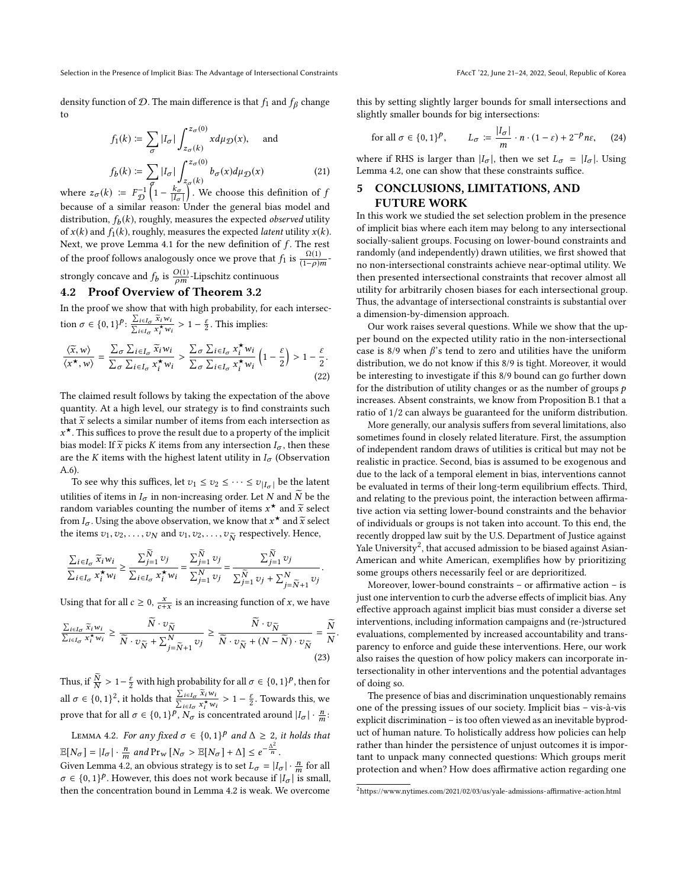density function of  $D$ . The main difference is that  $f_1$  and  $f_\beta$  change to

$$
f_1(k) := \sum_{\sigma} |I_{\sigma}| \int_{z_{\sigma}(k)}^{z_{\sigma}(0)} x d\mu_{\mathcal{D}}(x), \text{ and}
$$
  

$$
f_b(k) := \sum_{\sigma} |I_{\sigma}| \int_{z_{\sigma}(k)}^{z_{\sigma}(0)} b_{\sigma}(x) d\mu_{\mathcal{D}}(x)
$$
(21)

where  $z_{\sigma}(k) := F_{\mathcal{D}}^{-1} \left(1 - \frac{k_{\sigma}}{|\mathcal{I}_{\sigma}|}\right)$ . Where  $z_{\sigma}(k)$  is equallent parameter in Eq. we choose this definition of  $f(x)$ because of a similar reason: Under the general bias model and distribution,  $f_b(k)$ , roughly, measures the expected *observed* utility<br>of  $x(k)$  and  $f_c(k)$ , roughly, measures the expected *latent* utility  $x(k)$ of  $x(k)$  and  $f_1(k)$ , roughly, measures the expected *latent* utility  $x(k)$ . Next, we prove Lemma [4.1](#page-7-7) for the new definition of  $f$ . The rest of the proof follows analogously once we prove that  $f_1$  is  $\frac{\Omega(1)}{(1-\rho)m}$ .

strongly concave and  $f_b$  is  $\frac{O(1)}{\rho m}$ -Lipschitz continuous

#### <span id="page-8-0"></span>4.2 Proof Overview of Theorem [3.2](#page-5-1)

In the proof we show that with high probability, for each intersection  $\sigma \in \{0, 1\}^p$ :  $\frac{\sum_{i \in I_{\sigma}} \tilde{x}_i w_i}{\sum_{i \in I_{\sigma}} x_i^* w_i} > 1 - \frac{\varepsilon}{2}$ . This implies:

$$
\frac{\langle \widetilde{x}, w \rangle}{\langle x^{\star}, w \rangle} = \frac{\sum_{\sigma} \sum_{i \in I_{\sigma}} \widetilde{x}_{i} w_{i}}{\sum_{\sigma} \sum_{i \in I_{\sigma}} x_{i}^{\star} w_{i}} > \frac{\sum_{\sigma} \sum_{i \in I_{\sigma}} x_{i}^{\star} w_{i}}{\sum_{\sigma} \sum_{i \in I_{\sigma}} x_{i}^{\star} w_{i}} \left(1 - \frac{\varepsilon}{2}\right) > 1 - \frac{\varepsilon}{2}.
$$
\n(22)

The claimed result follows by taking the expectation of the above quantity. At a high level, our strategy is to find constraints such that  $\widetilde{x}$  selects a similar number of items from each intersection as bias model: If  $\tilde{x}$  picks K items from any intersection  $I_{\sigma}$ , then these<br>are the K items with the highest latent utility in I. (Observation  $x^*$ . This suffices to prove the result due to a property of the implicit are the K items with the highest latent utility in  $I_{\sigma}$  (Observation A.6).

To see why this suffices, let  $v_1 \le v_2 \le \cdots \le v_{|I_{\sigma}|}$  be the latent utilities of items in  $I_{\sigma}$  in non-increasing order. Let N and  $\widetilde{N}$  be the random variables counting the number of items  $x^*$  and  $\tilde{x}$  select from L. Using the above observation, we know that  $x^*$  and  $\tilde{x}$  select from  $I_{\sigma}$ . Using the above observation, we know that  $x^*$  and  $\tilde{x}$  select<br>the items  $x_1, x_2, \ldots, x_N$  and  $x_1, x_2, \ldots, x_N$  respectively. Hence the items  $v_1, v_2, \ldots, v_N$  and  $v_1, v_2, \ldots, v_{\widetilde{N}}$  respectively. Hence,

$$
\frac{\sum_{i \in I_{\sigma}} \widetilde{x}_{i} w_{i}}{\sum_{i \in I_{\sigma}} x_{i}^{*} w_{i}} \ge \frac{\sum_{j=1}^{\widetilde{N}} v_{j}}{\sum_{i \in I_{\sigma}} x_{i}^{*} w_{i}} = \frac{\sum_{j=1}^{\widetilde{N}} v_{j}}{\sum_{j=1}^{\widetilde{N}} v_{j}} = \frac{\sum_{j=1}^{\widetilde{N}} v_{j}}{\sum_{j=1}^{\widetilde{N}} v_{j} + \sum_{j=\widetilde{N}+1}^{\widetilde{N}} v_{j}}
$$

Using that for all  $c \ge 0$ ,  $\frac{x}{c+x}$  is an increasing function of x, we have

$$
\frac{\sum_{i \in I_{\sigma}} \widetilde{x}_{i} w_{i}}{\sum_{i \in I_{\sigma}} x_{i}^{*} w_{i}} \geq \frac{\widetilde{N} \cdot v_{\widetilde{N}}}{\widetilde{N} \cdot v_{\widetilde{N}} + \sum_{j=\widetilde{N}+1}^{N} v_{j}} \geq \frac{\widetilde{N} \cdot v_{\widetilde{N}}}{\widetilde{N} \cdot v_{\widetilde{N}} + (N - \widetilde{N}) \cdot v_{\widetilde{N}}} = \frac{\widetilde{N}}{N}
$$
\n(23)

Thus, if  $\frac{N}{N} > 1 - \frac{\varepsilon}{2}$  with high probability for all  $\sigma \in \{0, 1\}^p$ , then for all  $\sigma \in \{0, 1\}^2$ , it holds that  $\frac{\sum_{i \in I_{\sigma}} \bar{x}_i w_i}{\sum_{i \in I_{\sigma}} x_i^* w_i} > 1 - \frac{\varepsilon}{2}$ . Towards this, we prove that for all  $\sigma \in \{0, 1\}^p$ ,  $N_{\sigma}$  is concentrated around  $|I_{\sigma}| \cdot \frac{n}{m}$ :

<span id="page-8-1"></span>LEMMA 4.2. For any fixed  $\sigma \in \{0,1\}^p$  and  $\Delta \geq 2$ , it holds that  $\mathbb{E}[N_{\sigma}] = |I_{\sigma}| \cdot \frac{n}{m}$  and  $\Pr_{W}[N_{\sigma} > \mathbb{E}[N_{\sigma}] + \Delta] \leq e^{-\frac{\Delta^{2}}{n}}$ <br>Given Lemma 4.2, an obvious strategy is to set  $I_{\sigma} = 1$ 

 $\sigma \in \{0, 1\}^p$ . However, this does not work because if  $|I_{\sigma}| \cdot \frac{n}{m}$  for all  $\sigma \in \{0, 1\}^p$ . However, this does not work because if  $|I_{\sigma}|$  is small.  $\sigma \in \{0, 1\}^p$ . However, this does not work because if  $|I_{\sigma}|$  is small, then the concentration bound in Lemma 4.2 is weak. We overcome then the concentration bound in Lemma [4.2](#page-8-1) is weak. We overcome

this by setting slightly larger bounds for small intersections and slightly smaller bounds for big intersections:

for all 
$$
\sigma \in \{0, 1\}^p
$$
,  $L_{\sigma} \coloneqq \frac{|I_{\sigma}|}{m} \cdot n \cdot (1 - \varepsilon) + 2^{-p} n \varepsilon$ , (24)

where if RHS is larger than  $|I_{\sigma}|$ , then we set  $L_{\sigma} = |I_{\sigma}|$ . Using I amma 4.2, one can show that these constraints suffice Lemma [4.2,](#page-8-1) one can show that these constraints suffice.

## 5 CONCLUSIONS, LIMITATIONS, AND FUTURE WORK

In this work we studied the set selection problem in the presence of implicit bias where each item may belong to any intersectional socially-salient groups. Focusing on lower-bound constraints and randomly (and independently) drawn utilities, we first showed that no non-intersectional constraints achieve near-optimal utility. We then presented intersectional constraints that recover almost all utility for arbitrarily chosen biases for each intersectional group. Thus, the advantage of intersectional constraints is substantial over a dimension-by-dimension approach.

Our work raises several questions. While we show that the upper bound on the expected utility ratio in the non-intersectional case is  $8/9$  when  $\beta$ 's tend to zero and utilities have the uniform distribution, we do not know if this 8/9 is tight. Moreover, it would be interesting to investigate if this 8/9 bound can go further down for the distribution of utility changes or as the number of groups  $p$ increases. Absent constraints, we know from Proposition B.1 that a ratio of 1/2 can always be guaranteed for the uniform distribution.

More generally, our analysis suffers from several limitations, also sometimes found in closely related literature. First, the assumption of independent random draws of utilities is critical but may not be realistic in practice. Second, bias is assumed to be exogenous and due to the lack of a temporal element in bias, interventions cannot be evaluated in terms of their long-term equilibrium effects. Third, and relating to the previous point, the interaction between affirmative action via setting lower-bound constraints and the behavior of individuals or groups is not taken into account. To this end, the recently dropped law suit by the U.S. Department of Justice against Yale University<sup>[2](#page-8-2)</sup>, that accused admission to be biased against Asian-American and white American, exemplifies how by prioritizing some groups others necessarily feel or are deprioritized.

Moreover, lower-bound constraints – or affirmative action – is just one intervention to curb the adverse effects of implicit bias. Any effective approach against implicit bias must consider a diverse set interventions, including information campaigns and (re-)structured evaluations, complemented by increased accountability and transparency to enforce and guide these interventions. Here, our work also raises the question of how policy makers can incorporate intersectionality in other interventions and the potential advantages of doing so.

The presence of bias and discrimination unquestionably remains one of the pressing issues of our society. Implicit bias – vis-à-vis explicit discrimination – is too often viewed as an inevitable byproduct of human nature. To holistically address how policies can help rather than hinder the persistence of unjust outcomes it is important to unpack many connected questions: Which groups merit protection and when? How does affirmative action regarding one

<span id="page-8-2"></span> $2$ <https://www.nytimes.com/2021/02/03/us/yale-admissions-affirmative-action.html>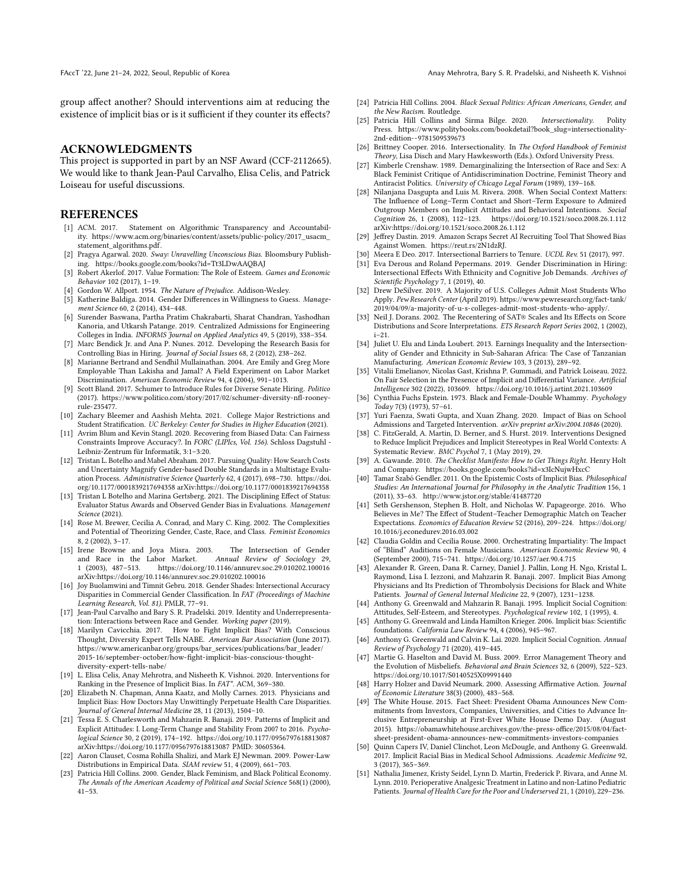group affect another? Should interventions aim at reducing the existence of implicit bias or is it sufficient if they counter its effects?

### ACKNOWLEDGMENTS

This project is supported in part by an NSF Award (CCF-2112665). We would like to thank Jean-Paul Carvalho, Elisa Celis, and Patrick Loiseau for useful discussions.

#### **REFERENCES**

- <span id="page-9-2"></span>[1] ACM. 2017. Statement on Algorithmic Transparency and Accountability. [https://www.acm.org/binaries/content/assets/public-policy/2017\\_usacm\\_](https://www.acm.org/binaries/content/assets/public-policy/2017_usacm_statement_algorithms.pdf) [statement\\_algorithms.pdf.](https://www.acm.org/binaries/content/assets/public-policy/2017_usacm_statement_algorithms.pdf)
- <span id="page-9-32"></span>[2] Pragya Agarwal. 2020. Sway: Unravelling Unconscious Bias. Bloomsbury Publishing.<https://books.google.com/books?id=Tt3LDwAAQBAJ>
- <span id="page-9-25"></span>[3] Robert Akerlof. 2017. Value Formation: The Role of Esteem. Games and Economic Behavior 102 (2017), 1–19.
- <span id="page-9-33"></span>[4] Gordon W. Allport. 1954. The Nature of Prejudice. Addison-Wesley.
- <span id="page-9-13"></span>[5] Katherine Baldiga. 2014. Gender Differences in Willingness to Guess. Management Science 60, 2 (2014), 434–448.
- <span id="page-9-44"></span>[6] Surender Baswana, Partha Pratim Chakrabarti, Sharat Chandran, Yashodhan Kanoria, and Utkarsh Patange. 2019. Centralized Admissions for Engineering Colleges in India. INFORMS Journal on Applied Analytics 49, 5 (2019), 338–354.
- <span id="page-9-3"></span>[7] Marc Bendick Jr. and Ana P. Nunes. 2012. Developing the Research Basis for Controlling Bias in Hiring. Journal of Social Issues 68, 2 (2012), 238–262.
- <span id="page-9-37"></span>[8] Marianne Bertrand and Sendhil Mullainathan. 2004. Are Emily and Greg More Employable Than Lakisha and Jamal? A Field Experiment on Labor Market Discrimination. American Economic Review 94, 4 (2004), 991–1013.
- <span id="page-9-11"></span>[9] Scott Bland. 2017. Schumer to Introduce Rules for Diverse Senate Hiring. Politico (2017). [https://www.politico.com/story/2017/02/schumer-diversity-nfl-rooney](https://www.politico.com/story/2017/02/schumer-diversity-nfl-rooney-rule-235477)[rule-235477.](https://www.politico.com/story/2017/02/schumer-diversity-nfl-rooney-rule-235477)
- <span id="page-9-9"></span>[10] Zachary Bleemer and Aashish Mehta. 2021. College Major Restrictions and Student Stratification. UC Berkeley: Center for Studies in Higher Education (2021).
- <span id="page-9-39"></span>[11] Avrim Blum and Kevin Stangl. 2020. Recovering from Biased Data: Can Fairness Constraints Improve Accuracy?. In FORC (LIPIcs, Vol. 156). Schloss Dagstuhl - Leibniz-Zentrum für Informatik, 3:1–3:20.
- <span id="page-9-18"></span>[12] Tristan L. Botelho and Mabel Abraham. 2017. Pursuing Quality: How Search Costs and Uncertainty Magnify Gender-based Double Standards in a Multistage Evaluation Process. Administrative Science Quarterly 62, 4 (2017), 698–730. [https://doi.](https://doi.org/10.1177/0001839217694358) [org/10.1177/0001839217694358](https://doi.org/10.1177/0001839217694358) arXiv[:https://doi.org/10.1177/0001839217694358](https://arxiv.org/abs/https://doi.org/10.1177/0001839217694358)
- <span id="page-9-17"></span>[13] Tristan L Botelho and Marina Gertsberg. 2021. The Disciplining Effect of Status: Evaluator Status Awards and Observed Gender Bias in Evaluations. Management Science (2021).
- <span id="page-9-26"></span>[14] Rose M. Brewer, Cecilia A. Conrad, and Mary C. King. 2002. The Complexities and Potential of Theorizing Gender, Caste, Race, and Class. Feminist Economics 8, 2 (2002), 3–17.
- <span id="page-9-31"></span>[15] Irene Browne and Joya Misra. 2003. The Intersection of Gender and Race in the Labor Market. Annual Review of Sociology 29,<br>1 (2003) 487-513. https://doi.org/10.1146/annurey.soc.29.010202.100016 1 (2003), 487–513.<https://doi.org/10.1146/annurev.soc.29.010202.100016> arXiv[:https://doi.org/10.1146/annurev.soc.29.010202.100016](https://arxiv.org/abs/https://doi.org/10.1146/annurev.soc.29.010202.100016)
- <span id="page-9-30"></span>[16] Joy Buolamwini and Timnit Gebru. 2018. Gender Shades: Intersectional Accuracy Disparities in Commercial Gender Classification. In FAT (Proceedings of Machine Learning Research, Vol. 81). PMLR, 77–91.
- <span id="page-9-27"></span>[17] Jean-Paul Carvalho and Bary S. R. Pradelski. 2019. Identity and Underrepresentation: Interactions between Race and Gender. Working paper (2019).
- <span id="page-9-20"></span>[18] Marilyn Cavicchia. 2017. How to Fight Implicit Bias? With Conscious Thought, Diversity Expert Tells NABE. American Bar Association (June 2017). [https://www.americanbar.org/groups/bar\\_services/publications/bar\\_leader/](https://www.americanbar.org/groups/bar_services/publications/bar_leader/2015-16/september-october/how-fight-implicit-bias-conscious-thought-diversity-expert-tells-nabe/) [2015-16/september-october/how-fight-implicit-bias-conscious-thought](https://www.americanbar.org/groups/bar_services/publications/bar_leader/2015-16/september-october/how-fight-implicit-bias-conscious-thought-diversity-expert-tells-nabe/)[diversity-expert-tells-nabe/](https://www.americanbar.org/groups/bar_services/publications/bar_leader/2015-16/september-october/how-fight-implicit-bias-conscious-thought-diversity-expert-tells-nabe/)
- <span id="page-9-22"></span>[19] L. Elisa Celis, Anay Mehrotra, and Nisheeth K. Vishnoi. 2020. Interventions for Ranking in the Presence of Implicit Bias. In FAT\*. ACM, 369–380.
- <span id="page-9-5"></span>[20] Elizabeth N. Chapman, Anna Kaatz, and Molly Carnes. 2013. Physicians and Implicit Bias: How Doctors May Unwittingly Perpetuate Health Care Disparities. Journal of General Internal Medicine 28, 11 (2013), 1504–10.
- <span id="page-9-46"></span>[21] Tessa E. S. Charlesworth and Mahzarin R. Banaji. 2019. Patterns of Implicit and Explicit Attitudes: I. Long-Term Change and Stability From 2007 to 2016. Psychological Science 30, 2 (2019), 174–192.<https://doi.org/10.1177/0956797618813087> arXiv[:https://doi.org/10.1177/0956797618813087](https://arxiv.org/abs/https://doi.org/10.1177/0956797618813087) PMID: 30605364.
- <span id="page-9-48"></span>[22] Aaron Clauset, Cosma Rohilla Shalizi, and Mark EJ Newman. 2009. Power-Law Distributions in Empirical Data. SIAM review 51, 4 (2009), 661–703.
- <span id="page-9-28"></span>[23] Patricia Hill Collins. 2000. Gender, Black Feminism, and Black Political Economy. The Annals of the American Academy of Political and Social Science 568(1) (2000), 41–53.
- [24] Patricia Hill Collins. 2004. Black Sexual Politics: African Americans, Gender, and the New Racism. Routledge.
- <span id="page-9-41"></span>[25] Patricia Hill Collins and Sirma Bilge. 2020. Intersectionality. Polity Press. [https://www.politybooks.com/bookdetail?book\\_slug=intersectionality-](https://www.politybooks.com/bookdetail?book_slug=intersectionality-2nd-edition--9781509539673)[2nd-edition--9781509539673](https://www.politybooks.com/bookdetail?book_slug=intersectionality-2nd-edition--9781509539673)
- [26] Brittney Cooper. 2016. Intersectionality. In The Oxford Handbook of Feminist Theory, Lisa Disch and Mary Hawkesworth (Eds.). Oxford University Press.
- <span id="page-9-24"></span>[27] Kimberle Crenshaw. 1989. Demarginalizing the Intersection of Race and Sex: A Black Feminist Critique of Antidiscrimination Doctrine, Feminist Theory and Antiracist Politics. University of Chicago Legal Forum (1989), 139-168.
- <span id="page-9-19"></span>[28] Nilanjana Dasgupta and Luis M. Rivera. 2008. When Social Context Matters: The Influence of Long–Term Contact and Short–Term Exposure to Admired Outgroup Members on Implicit Attitudes and Behavioral Intentions. Social Cognition 26, 1 (2008), 112–123.<https://doi.org/10.1521/soco.2008.26.1.112> arXiv[:https://doi.org/10.1521/soco.2008.26.1.112](https://arxiv.org/abs/https://doi.org/10.1521/soco.2008.26.1.112)
- <span id="page-9-10"></span>[29] Jeffrey Dastin. 2019. Amazon Scraps Secret AI Recruiting Tool That Showed Bias Against Women. [https://reut.rs/2N1dzRJ.](https://reut.rs/2N1dzRJ)
- <span id="page-9-42"></span>[30] Meera E Deo. 2017. Intersectional Barriers to Tenure. UCDL Rev. 51 (2017), 997.
- <span id="page-9-43"></span>Eva Derous and Roland Pepermans. 2019. Gender Discrimination in Hiring: Intersectional Effects With Ethnicity and Cognitive Job Demands. Archives of Scientific Psychology 7, 1 (2019), 40.
- <span id="page-9-45"></span>[32] Drew DeSilver. 2019. A Majority of U.S. Colleges Admit Most Students Who Apply. Pew Research Center (April 2019). [https://www.pewresearch.org/fact-tank/](https://www.pewresearch.org/fact-tank/2019/04/09/a-majority-of-u-s-colleges-admit-most-students-who-apply/) [2019/04/09/a-majority-of-u-s-colleges-admit-most-students-who-apply/.](https://www.pewresearch.org/fact-tank/2019/04/09/a-majority-of-u-s-colleges-admit-most-students-who-apply/)
- <span id="page-9-47"></span>[33] Neil J. Dorans. 2002. The Recentering of SAT® Scales and Its Effects on Score Distributions and Score Interpretations. ETS Research Report Series 2002, 1 (2002), i–21.
- <span id="page-9-29"></span>[34] Juliet U. Elu and Linda Loubert. 2013. Earnings Inequality and the Intersectionality of Gender and Ethnicity in Sub-Saharan Africa: The Case of Tanzanian Manufacturing. American Economic Review 103, 3 (2013), 289–92.
- <span id="page-9-23"></span>[35] Vitalii Emelianov, Nicolas Gast, Krishna P. Gummadi, and Patrick Loiseau. 2022. On Fair Selection in the Presence of Implicit and Differential Variance. Artificial Intelligence 302 (2022), 103609.<https://doi.org/10.1016/j.artint.2021.103609>
- <span id="page-9-40"></span>[36] Cynthia Fuchs Epstein. 1973. Black and Female-Double Whammy. Psychology Today 7(3) (1973), 57–61.
- <span id="page-9-38"></span>[37] Yuri Faenza, Swati Gupta, and Xuan Zhang. 2020. Impact of Bias on School Admissions and Targeted Intervention. arXiv preprint arXiv:2004.10846 (2020).
- <span id="page-9-16"></span>[38] C. FitzGerald, A. Martin, D. Berner, and S. Hurst. 2019. Interventions Designed to Reduce Implicit Prejudices and Implicit Stereotypes in Real World Contexts: A Systematic Review. BMC Psychol 7, 1 (May 2019), 29.
- <span id="page-9-14"></span>[39] A. Gawande. 2010. The Checklist Manifesto: How to Get Things Right. Henry Holt and Company.<https://books.google.com/books?id=x3IcNujwHxcC>
- <span id="page-9-34"></span>[40] Tamar Szabó Gendler. 2011. On the Epistemic Costs of Implicit Bias. Philosophical Studies: An International Journal for Philosophy in the Analytic Tradition 156, 1 (2011), 33–63.<http://www.jstor.org/stable/41487720>
- <span id="page-9-8"></span>[41] Seth Gershenson, Stephen B. Holt, and Nicholas W. Papageorge. 2016. Who Believes in Me? The Effect of Student–Teacher Demographic Match on Teacher Expectations. Economics of Education Review 52 (2016), 209–224. [https://doi.org/](https://doi.org/10.1016/j.econedurev.2016.03.002) [10.1016/j.econedurev.2016.03.002](https://doi.org/10.1016/j.econedurev.2016.03.002)
- <span id="page-9-15"></span>[42] Claudia Goldin and Cecilia Rouse. 2000. Orchestrating Impartiality: The Impact of "Blind" Auditions on Female Musicians. American Economic Review 90, 4 (September 2000), 715–741.<https://doi.org/10.1257/aer.90.4.715>
- <span id="page-9-6"></span>[43] Alexander R. Green, Dana R. Carney, Daniel J. Pallin, Long H. Ngo, Kristal L. Raymond, Lisa I. Iezzoni, and Mahzarin R. Banaji. 2007. Implicit Bias Among Physicians and Its Prediction of Thrombolysis Decisions for Black and White Patients. Journal of General Internal Medicine 22, 9 (2007), 1231–1238.
- <span id="page-9-35"></span>[44] Anthony G. Greenwald and Mahzarin R. Banaji. 1995. Implicit Social Cognition: Attitudes, Self-Esteem, and Stereotypes. Psychological review 102, 1 (1995), 4.
- <span id="page-9-0"></span>[45] Anthony G. Greenwald and Linda Hamilton Krieger. 2006. Implicit bias: Scientific foundations. California Law Review 94, 4 (2006), 945–967.
- <span id="page-9-1"></span>[46] Anthony G. Greenwald and Calvin K. Lai. 2020. Implicit Social Cognition. Annual Review of Psychology 71 (2020), 419–445.
- <span id="page-9-36"></span>[47] Martie G. Haselton and David M. Buss. 2009. Error Management Theory and the Evolution of Misbeliefs. Behavioral and Brain Sciences 32, 6 (2009), 522–523. <https://doi.org/10.1017/S0140525X09991440>
- <span id="page-9-21"></span>[48] Harry Holzer and David Neumark. 2000. Assessing Affirmative Action. Journal of Economic Literature 38(3) (2000), 483–568.
- <span id="page-9-12"></span>[49] The White House. 2015. Fact Sheet: President Obama Announces New Commitments from Investors, Companies, Universities, and Cities to Advance Inclusive Entrepreneurship at First-Ever White House Demo Day. (August 2015). [https://obamawhitehouse.archives.gov/the-press-office/2015/08/04/fact](https://obamawhitehouse.archives.gov/the-press-office/2015/08/04/fact-sheet-president-obama-announces-new-commitments-investors-companies)[sheet-president-obama-announces-new-commitments-investors-companies](https://obamawhitehouse.archives.gov/the-press-office/2015/08/04/fact-sheet-president-obama-announces-new-commitments-investors-companies)
- <span id="page-9-4"></span>[50] Quinn Capers IV, Daniel Clinchot, Leon McDougle, and Anthony G. Greenwald. 2017. Implicit Racial Bias in Medical School Admissions. Academic Medicine 92, 3 (2017), 365–369.
- <span id="page-9-7"></span>[51] Nathalia Jimenez, Kristy Seidel, Lynn D. Martin, Frederick P. Rivara, and Anne M. Lynn. 2010. Perioperative Analgesic Treatment in Latino and non-Latino Pediatric Patients. Journal of Health Care for the Poor and Underserved 21, 1 (2010), 229–236.